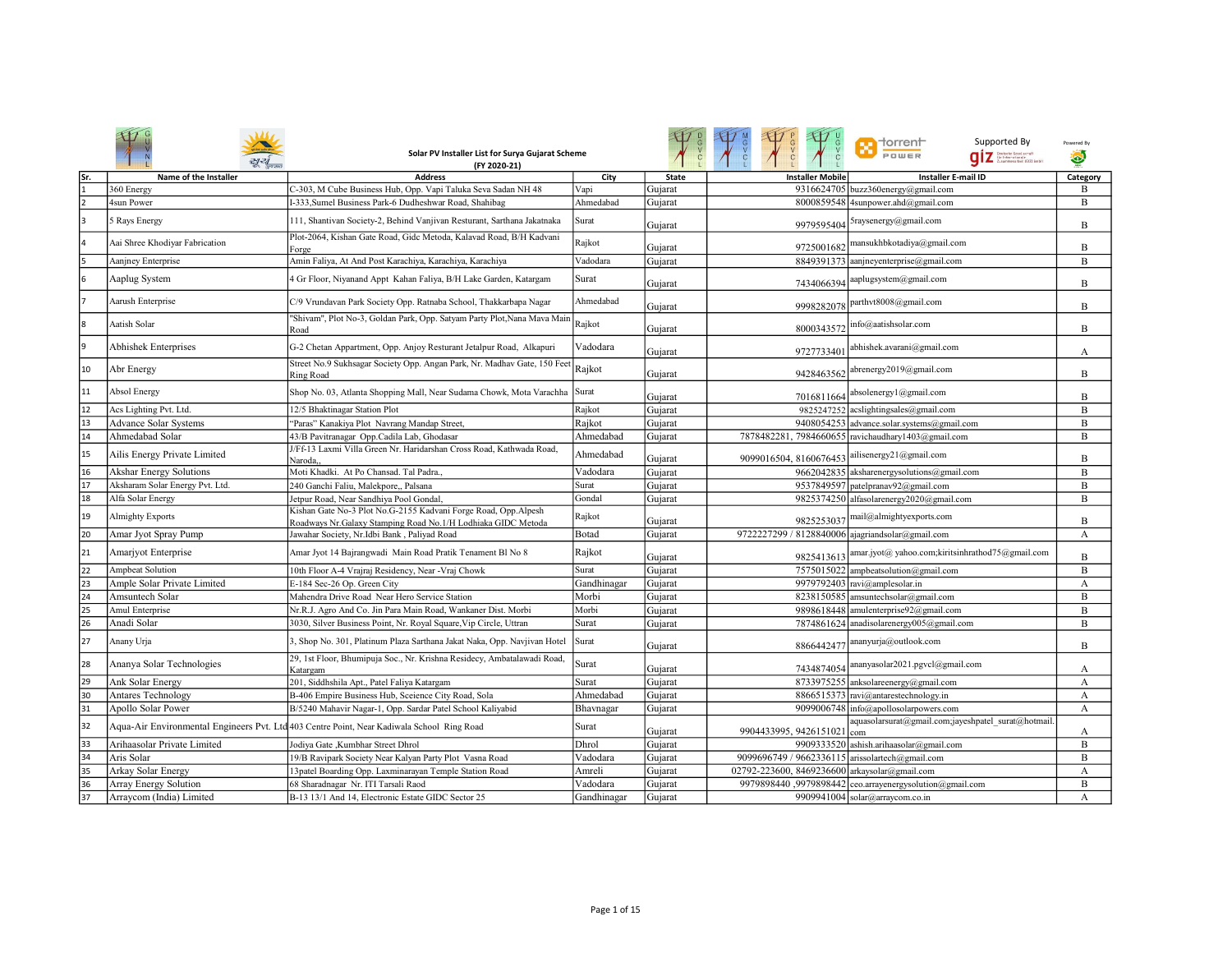|                 | Solar PV Installer List for Surya Gujarat Scheme<br>(FY 2020-21) |                                                                                                                                |             |              |                                                  | <b>n</b> torrent<br>Supported By<br>POWER<br>qiz <b>Elizabeth</b> | Powered By<br>۵ |
|-----------------|------------------------------------------------------------------|--------------------------------------------------------------------------------------------------------------------------------|-------------|--------------|--------------------------------------------------|-------------------------------------------------------------------|-----------------|
| Sr.             | Name of the Installer                                            | <b>Address</b>                                                                                                                 | City        | <b>State</b> | <b>Installer Mobile</b>                          | <b>Installer E-mail ID</b>                                        | Category        |
| 1               | 360 Energy                                                       | C-303, M Cube Business Hub, Opp. Vapi Taluka Seva Sadan NH 48                                                                  | Vapi        | Gujarat      | 9316624705                                       | buzz360energy@gmail.com                                           | B               |
|                 | 4sun Power                                                       | I-333, Sumel Business Park-6 Dudheshwar Road, Shahibag                                                                         | Ahmedabad   | Gujarat      |                                                  | 8000859548 4sunpower.ahd@gmail.com                                | B               |
| lз              | 5 Rays Energy                                                    | 111, Shantivan Society-2, Behind Vanjivan Resturant, Sarthana Jakatnaka                                                        | Surat       | Guiarat      |                                                  | 9979595404 5raysenergy@gmail.com                                  | B               |
|                 | Aai Shree Khodiyar Fabrication                                   | Plot-2064, Kishan Gate Road, Gidc Metoda, Kalavad Road, B/H Kadvani<br>Forge                                                   | Rajkot      | Gujarat      | 9725001682                                       | mansukhbkotadiya@gmail.com                                        | B               |
| 5               | Aanjney Enterprise                                               | Amin Faliya, At And Post Karachiya, Karachiya, Karachiya                                                                       | Vadodara    | Gujarat      |                                                  | 8849391373 aanjneyenterprise@gmail.com                            | B               |
| 6               | Aaplug System                                                    | Gr Floor, Niyanand Appt Kahan Faliya, B/H Lake Garden, Katargam                                                                | Surat       | Gujarat      | 7434066394                                       | aaplugsystem@gmail.com                                            | B               |
|                 | Aarush Enterprise                                                | C/9 Vrundavan Park Society Opp. Ratnaba School, Thakkarbapa Nagar                                                              | Ahmedabad   | Gujarat      | 9998282078                                       | parthvt8008@gmail.com                                             | B               |
| l8              | Aatish Solar                                                     | "Shivam", Plot No-3, Goldan Park, Opp. Satyam Party Plot, Nana Mava Main<br>Road                                               | Rajkot      | Gujarat      | 8000343572                                       | nfo@aatishsolar.com                                               | B               |
| l9              | <b>Abhishek Enterprises</b>                                      | G-2 Chetan Appartment, Opp. Anjoy Resturant Jetalpur Road, Alkapuri                                                            | Vadodara    | Gujarat      | 9727733401                                       | abhishek.avarani@gmail.com                                        | А               |
| 10              | Abr Energy                                                       | Street No.9 Sukhsagar Society Opp. Angan Park, Nr. Madhav Gate, 150 Feet<br>Ring Road                                          | Rajkot      | Gujarat      | 9428463562                                       | abrenergy2019@gmail.com                                           | B               |
| 11              | <b>Absol Energy</b>                                              | Shop No. 03, Atlanta Shopping Mall, Near Sudama Chowk, Mota Varachha Surat                                                     |             | Gujarat      | 7016811664                                       | absolenergy1@gmail.com                                            | B               |
| 12              | Acs Lighting Pvt. Ltd.                                           | 12/5 Bhaktinagar Station Plot                                                                                                  | Rajkot      | Gujarat      |                                                  | 9825247252 acslightingsales@gmail.com                             | B               |
| 13              | Advance Solar Systems                                            | "Paras" Kanakiya Plot Navrang Mandap Street,                                                                                   | Rajkot      | Gujarat      |                                                  | 9408054253 advance.solar.systems@gmail.com                        | B               |
| 14              | Ahmedabad Solar                                                  | 43/B Pavitranagar Opp.Cadila Lab, Ghodasar                                                                                     | Ahmedabad   | Gujarat      |                                                  | 7878482281, 7984660655 ravichaudhary1403@gmail.com                | B               |
| 15              | Ailis Energy Private Limited                                     | J/Ff-13 Laxmi Villa Green Nr. Haridarshan Cross Road, Kathwada Road,<br>Naroda.                                                | Ahmedabad   | Gujarat      | 9099016504, 8160676453                           | ailisenergy21@gmail.com                                           | B               |
| 16              | Akshar Energy Solutions                                          | Moti Khadki. At Po Chansad. Tal Padra                                                                                          | Vadodara    | Gujarat      |                                                  | 9662042835 aksharenergysolutions@gmail.com                        | $\overline{B}$  |
| 17              | Aksharam Solar Energy Pvt. Ltd.                                  | 240 Ganchi Faliu, Malekpore,, Palsana                                                                                          | Surat       | Gujarat      |                                                  | 9537849597 patelpranav92@gmail.com                                | B               |
| 18              | Alfa Solar Energy                                                | Jetpur Road, Near Sandhiya Pool Gondal,                                                                                        | Gondal      | Gujarat      |                                                  | 9825374250 alfasolarenergy2020@gmail.com                          | B               |
| 19              | <b>Almighty Exports</b>                                          | Kishan Gate No-3 Plot No.G-2155 Kadvani Forge Road, Opp.Alpesh<br>Roadways Nr.Galaxy Stamping Road No.1/H Lodhiaka GIDC Metoda | Rajkot      | Gujarat      | 9825253037                                       | mail@almightyexports.com                                          | B               |
| 20              | Amar Jyot Spray Pump                                             | Jawahar Society, Nr.Idbi Bank, Paliyad Road                                                                                    | Botad       | Gujarat      | 9722227299 / 8128840006 ajagriandsolar@gmail.com |                                                                   | A               |
| 21              | Amarjyot Enterprise                                              | Amar Jyot 14 Bajrangwadi Main Road Pratik Tenament Bl No 8                                                                     | Rajkot      | Gujarat      | 9825413613                                       | amar.jyot@ yahoo.com;kiritsinhrathod75@gmail.com                  | B               |
| 22              | Ampbeat Solution                                                 | 10th Floor A-4 Vrajraj Residency, Near -Vraj Chowk                                                                             | Surat       | Gujarat      |                                                  | 7575015022 ampbeatsolution@gmail.com                              | B               |
| 23              | Ample Solar Private Limited                                      | E-184 Sec-26 Op. Green City                                                                                                    | Gandhinagar | Gujarat      |                                                  | 9979792403 ravi@amplesolar.in                                     | A               |
| 24              | Amsuntech Solar                                                  | Mahendra Drive Road Near Hero Service Station                                                                                  | Morbi       | Gujarat      |                                                  | 8238150585 amsuntechsolar@gmail.com                               | B               |
| 25              | Amul Enterprise                                                  | Nr.R.J. Agro And Co. Jin Para Main Road, Wankaner Dist. Morbi                                                                  | Morbi       | Gujarat      |                                                  | 9898618448 amulenterprise92@gmail.com                             | B               |
| 26              | Anadi Solar                                                      | 3030, Silver Business Point, Nr. Royal Square, Vip Circle, Uttran                                                              | Surat       | Gujarat      |                                                  | 7874861624 anadisolarenergy005@gmail.com                          | B               |
| 27              | Anany Urja                                                       | , Shop No. 301, Platinum Plaza Sarthana Jakat Naka, Opp. Navjivan Hotel                                                        | Surat       | Gujarat      | 8866442477                                       | ananyurja@outlook.com                                             | B               |
| 28              | Ananya Solar Technologies                                        | 29, 1st Floor, Bhumipuja Soc., Nr. Krishna Residecy, Ambatalawadi Road,<br>Katargam                                            | Surat       | Gujarat      |                                                  | 7434874054 ananyasolar2021.pgvcl@gmail.com                        | A               |
| 29              | Ank Solar Energy                                                 | 201, Siddhshila Apt., Patel Faliya Katargam                                                                                    | Surat       | Gujarat      |                                                  | 8733975255 anksolareenergy@gmail.com                              | A               |
| 30              | Antares Technology                                               | B-406 Empire Business Hub, Sceience City Road, Sola                                                                            | Ahmedabad   | Gujarat      |                                                  | 8866515373 ravi@antarestechnology.in                              | A               |
| 31              | Apollo Solar Power                                               | B/5240 Mahavir Nagar-1, Opp. Sardar Patel School Kaliyabid                                                                     | Bhavnagar   | Gujarat      |                                                  | 9099006748 info@apollosolarpowers.com                             | А               |
| 32              |                                                                  | Aqua-Air Environmental Engineers Pvt. Ltd 403 Centre Point, Near Kadiwala School Ring Road                                     | Surat       | Gujarat      | 9904433995, 9426151021                           | aquasolarsurat@gmail.com;jayeshpatel surat@hotmail.<br>com        | А               |
| 33              | Arihaasolar Private Limited                                      | Jodiva Gate .Kumbhar Street Dhrol                                                                                              | Dhrol       | Gujarat      |                                                  | 9909333520 ashish.arihaasolar@gmail.com                           | B               |
| 34              | Aris Solar                                                       | 19/B Ravipark Society Near Kalyan Party Plot Vasna Road                                                                        | Vadodara    | Gujarat      | 9099696749 / 9662336115 arissolartech@gmail.com  |                                                                   | B               |
| 35              | Arkay Solar Energy                                               | 13patel Boarding Opp. Laxminarayan Temple Station Road                                                                         | Amreli      | Gujarat      | 02792-223600, 8469236600 arkaysolar@gmail.com    |                                                                   | A               |
| 36              | <b>Array Energy Solution</b>                                     | 68 Sharadnagar Nr. ITI Tarsali Raod                                                                                            | Vadodara    | Gujarat      |                                                  | 9979898440 ,9979898442 ceo.arrayenergysolution@gmail.com          | B               |
| $\overline{37}$ | Arraycom (India) Limited                                         | B-13 13/1 And 14, Electronic Estate GIDC Sector 25                                                                             | Gandhinagar | Gujarat      |                                                  | 9909941004 solar@arraycom.co.in                                   | А               |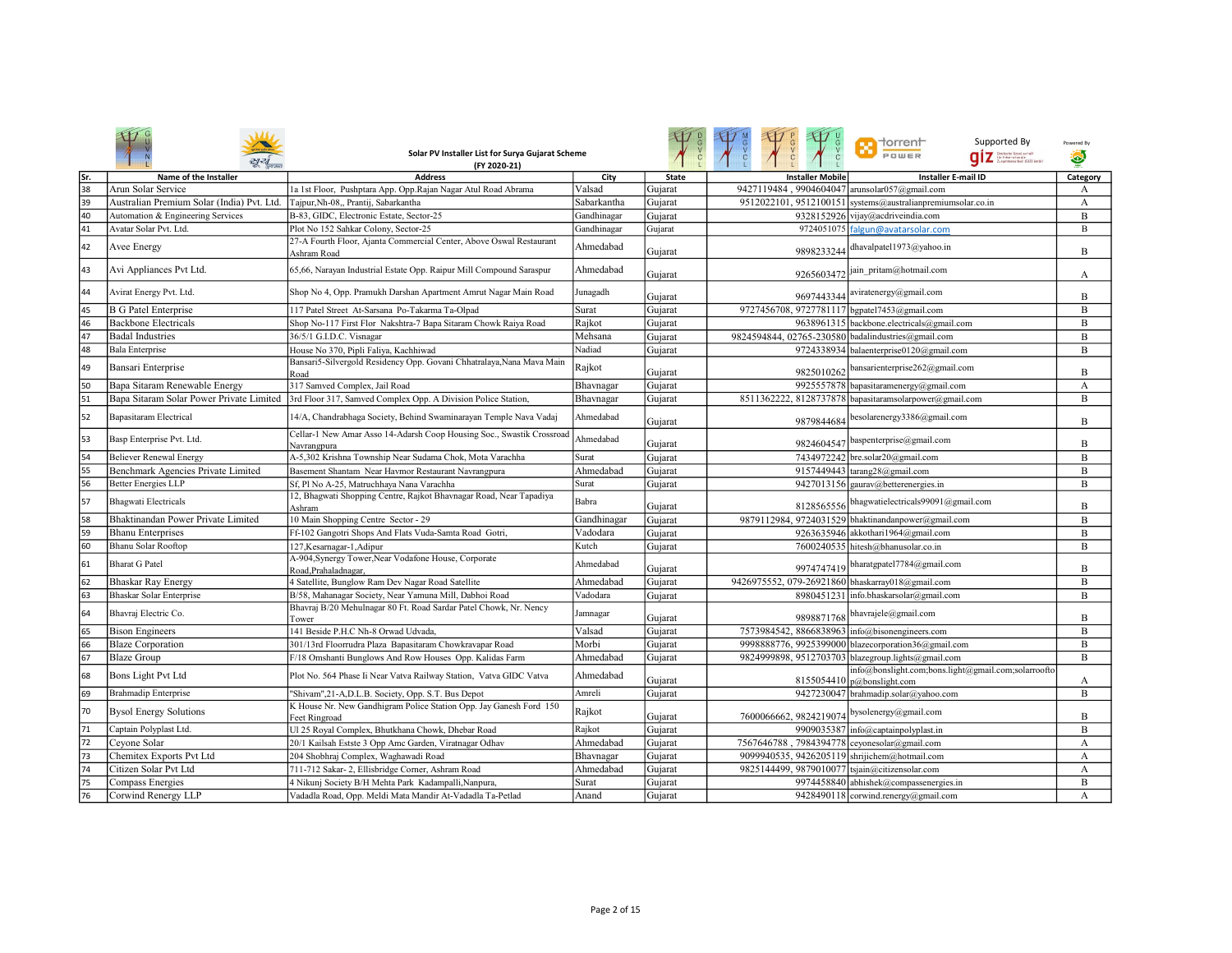|     |                                            | Solar PV Installer List for Surya Gujarat Scheme<br>(FY 2020-21)                                       |             |              |                                                    | <b>Th</b> dorrent<br>Supported By<br>POWER<br><b>QİZ</b> Statistic Southernit         | Powered By<br>۵  |
|-----|--------------------------------------------|--------------------------------------------------------------------------------------------------------|-------------|--------------|----------------------------------------------------|---------------------------------------------------------------------------------------|------------------|
| Sr. | Name of the Installer                      | <b>Address</b>                                                                                         | City        | <b>State</b> | <b>Installer Mobile</b>                            | <b>Installer E-mail ID</b>                                                            | Category         |
| 38  | Arun Solar Service                         | 1a 1st Floor, Pushptara App. Opp.Rajan Nagar Atul Road Abrama                                          | Valsad      | Guiarat      | 9427119484, 9904604047 arunsolar057@gmail.com      |                                                                                       | A                |
| 39  | Australian Premium Solar (India) Pvt. Ltd. | Tajpur, Nh-08,, Prantij, Sabarkantha                                                                   | Sabarkantha | Gujarat      |                                                    | 9512022101, 9512100151 systems@australianpremiumsolar.co.in                           | A                |
| 40  | Automation & Engineering Services          | B-83, GIDC, Electronic Estate, Sector-25                                                               | Gandhinagar | Gujarat      |                                                    | 9328152926 vijay@acdriveindia.com                                                     | B                |
| 41  | Avatar Solar Pvt. Ltd.                     | Plot No 152 Sahkar Colony, Sector-25                                                                   | Gandhinagar | Gujarat      |                                                    | 9724051075 falgun@avatarsolar.com                                                     | B                |
| 42  | Avee Energy                                | 27-A Fourth Floor, Ajanta Commercial Center, Above Oswal Restaurant<br>Ashram Road                     | Ahmedabad   | Gujarat      | 9898233244                                         | dhavalpatel1973@yahoo.in                                                              | B                |
| 43  | Avi Appliances Pvt Ltd.                    | 65,66, Narayan Industrial Estate Opp. Raipur Mill Compound Saraspur                                    | Ahmedabad   | Gujarat      | 9265603472                                         | jain_pritam@hotmail.com                                                               | А                |
| 44  | Avirat Energy Pvt. Ltd.                    | Shop No 4, Opp. Pramukh Darshan Apartment Amrut Nagar Main Road                                        | Junagadh    | Gujarat      |                                                    | 9697443344 aviratenergy@gmail.com                                                     | B                |
| 45  | <b>B</b> G Patel Enterprise                | 117 Patel Street At-Sarsana Po-Takarma Ta-Olpad                                                        | Surat       | Gujarat      | 9727456708, 9727781117 bgpatel7453@gmail.com       |                                                                                       | B                |
| 46  | <b>Backbone Electricals</b>                | Shop No-117 First Flor Nakshtra-7 Bapa Sitaram Chowk Raiya Road                                        | Rajkot      | Gujarat      |                                                    | 9638961315 backbone.electricals@gmail.com                                             | B                |
| 47  | <b>Badal Industries</b>                    | 36/5/1 G.I.D.C. Visnagar                                                                               | Mehsana     | Gujarat      | 9824594844, 02765-230580 badalindustries@gmail.com |                                                                                       | B                |
| 48  | <b>Bala Enterprise</b>                     | House No 370, Pipli Faliya, Kachhiwad                                                                  | Nadiad      | Gujarat      |                                                    | 9724338934 balaenterprise0120@gmail.com                                               | B                |
| 49  | Bansari Enterprise                         | Bansari5-Silvergold Residency Opp. Govani Chhatralaya, Nana Mava Main<br>Road                          | Rajkot      | Gujarat      | 9825010262                                         | bansarienterprise262@gmail.com                                                        | B                |
| 50  | Bapa Sitaram Renewable Energy              | 317 Samved Complex, Jail Road                                                                          | Bhavnagar   | Gujarat      |                                                    | 9925557878 bapasitaramenergy@gmail.com                                                | $\boldsymbol{A}$ |
| 51  |                                            | Bapa Sitaram Solar Power Private Limited 3rd Floor 317, Samved Complex Opp. A Division Police Station, | Bhavnagar   | Gujarat      |                                                    | 8511362222, 8128737878 bapasitaramsolarpower@gmail.com                                | B                |
| 52  | <b>Bapasitaram Electrical</b>              | 14/A, Chandrabhaga Society, Behind Swaminarayan Temple Nava Vadaj                                      | Ahmedabad   | Gujarat      | 9879844684                                         | besolarenergy3386@gmail.com                                                           | B                |
| 53  | Basp Enterprise Pvt. Ltd.                  | Cellar-1 New Amar Asso 14-Adarsh Coop Housing Soc., Swastik Crossroad<br>Navrangpura                   | Ahmedabad   | Gujarat      | 9824604547                                         | baspenterprise@gmail.com                                                              | B                |
| 54  | <b>Believer Renewal Energy</b>             | A-5,302 Krishna Township Near Sudama Chok, Mota Varachha                                               | Surat       | Gujarat      |                                                    | 7434972242 bre.solar20@gmail.com                                                      | B                |
| 55  | Benchmark Agencies Private Limited         | Basement Shantam Near Havmor Restaurant Navrangpura                                                    | Ahmedabad   | Gujarat      |                                                    | 9157449443 tarang28@gmail.com                                                         | B                |
| 56  | <b>Better Energies LLP</b>                 | Sf, Pl No A-25, Matruchhaya Nana Varachha                                                              | Surat       | Gujarat      |                                                    | 9427013156 gaurav@betterenergies.in                                                   | B                |
| 57  | <b>Bhagwati Electricals</b>                | 12, Bhagwati Shopping Centre, Rajkot Bhavnagar Road, Near Tapadiya<br>Ashram                           | Babra       | Gujarat      |                                                    | 8128565556 bhagwatielectricals99091@gmail.com                                         | B                |
| 58  | Bhaktinandan Power Private Limited         | 10 Main Shopping Centre Sector - 29                                                                    | Gandhinagar | Gujarat      |                                                    | 9879112984, 9724031529 bhaktinandanpower@gmail.com                                    | B                |
| 59  | <b>Bhanu Enterprises</b>                   | Ff-102 Gangotri Shops And Flats Vuda-Samta Road Gotri,                                                 | Vadodara    | Gujarat      |                                                    | 9263635946 akkothari1964@gmail.com                                                    | B                |
| 60  | Bhanu Solar Rooftop                        | 127, Kesarnagar-1, Adipur                                                                              | Kutch       | Gujarat      |                                                    | 7600240535 hitesh@bhanusolar.co.in                                                    | B                |
| 61  | <b>Bharat G Patel</b>                      | A-904, Synergy Tower, Near Vodafone House, Corporate<br>Road, Prahaladnagar,                           | Ahmedabad   | Gujarat      |                                                    | 9974747419 bharatgpatel7784@gmail.com                                                 | B                |
| 62  | Bhaskar Ray Energy                         | 4 Satellite, Bunglow Ram Dev Nagar Road Satellite                                                      | Ahmedabad   | Gujarat      | 9426975552, 079-26921860 bhaskarray018@gmail.com   |                                                                                       | B                |
| 63  | Bhaskar Solar Enterprise                   | B/58, Mahanagar Society, Near Yamuna Mill, Dabhoi Road                                                 | Vadodara    | Gujarat      |                                                    | 8980451231 info.bhaskarsolar@gmail.com                                                | B                |
| 64  | Bhavraj Electric Co.                       | Bhavraj B/20 Mehulnagar 80 Ft. Road Sardar Patel Chowk, Nr. Nency<br>Tower                             | Jamnagar    | Gujarat      | 9898871768                                         | bhavrajele@gmail.com                                                                  | B                |
| 65  | <b>Bison Engineers</b>                     | 141 Beside P.H.C Nh-8 Orwad Udvada,                                                                    | Valsad      | Gujarat      | 7573984542, 8866838963 info@bisonengineers.com     |                                                                                       | B                |
| 66  | <b>Blaze Corporation</b>                   | 301/13rd Floorrudra Plaza Bapasitaram Chowkravapar Road                                                | Morbi       | Gujarat      |                                                    | 9998888776, 9925399000 blazecorporation36@gmail.com                                   | B                |
| 67  | <b>Blaze Group</b>                         | F/18 Omshanti Bunglows And Row Houses Opp. Kalidas Farm                                                | Ahmedabad   | Gujarat      |                                                    | 9824999898, 9512703703 blazegroup.lights@gmail.com                                    | B                |
| 68  | Bons Light Pvt Ltd                         | Plot No. 564 Phase Ii Near Vatva Railway Station, Vatva GIDC Vatva                                     | Ahmedabad   | Gujarat      |                                                    | info@bonslight.com;bons.light@gmail.com;solarroofto<br>8155054410 $ p@$ bonslight.com | А                |
| 69  | <b>Brahmadip Enterprise</b>                | "Shivam",21-A,D.L.B. Society, Opp. S.T. Bus Depot                                                      | Amreli      | Gujarat      |                                                    | 9427230047 brahmadip.solar@yahoo.com                                                  | B                |
| 70  | <b>Bysol Energy Solutions</b>              | K House Nr. New Gandhigram Police Station Opp. Jay Ganesh Ford 150<br>Feet Ringroad                    | Rajkot      | Gujarat      | 7600066662, 9824219074                             | bysolenergy@gmail.com                                                                 | B                |
| 71  | Captain Polyplast Ltd.                     | Ul 25 Royal Complex, Bhutkhana Chowk, Dhebar Road                                                      | Rajkot      | Gujarat      |                                                    | 9909035387 info@captainpolyplast.in                                                   | B                |
| 72  | Ceyone Solar                               | 20/1 Kailsah Estste 3 Opp Amc Garden, Viratnagar Odhav                                                 | Ahmedabad   | Gujarat      | 7567646788, 7984394778 ceyonesolar@gmail.com       |                                                                                       | А                |
| 73  | Chemitex Exports Pvt Ltd                   | 204 Shobhraj Complex, Waghawadi Road                                                                   | Bhavnagar   | Gujarat      | 9099940535, 9426205119 shrijichem@hotmail.com      |                                                                                       | A                |
| 74  | Citizen Solar Pvt Ltd                      | 711-712 Sakar- 2, Ellisbridge Corner, Ashram Road                                                      | Ahmedabad   | Gujarat      | 9825144499, 9879010077 tsjain@citizensolar.com     |                                                                                       | A                |
| 75  | Compass Energies                           | 4 Nikunj Society B/H Mehta Park Kadampalli, Nanpura,                                                   | Surat       | Guiarat      |                                                    | 9974458840 abhishek@compassenergies.in                                                | B                |
| 76  | Corwind Renergy LLP                        | Vadadla Road, Opp. Meldi Mata Mandir At-Vadadla Ta-Petlad                                              | Anand       | Gujarat      |                                                    | 9428490118 corwind.renergy@gmail.com                                                  | A                |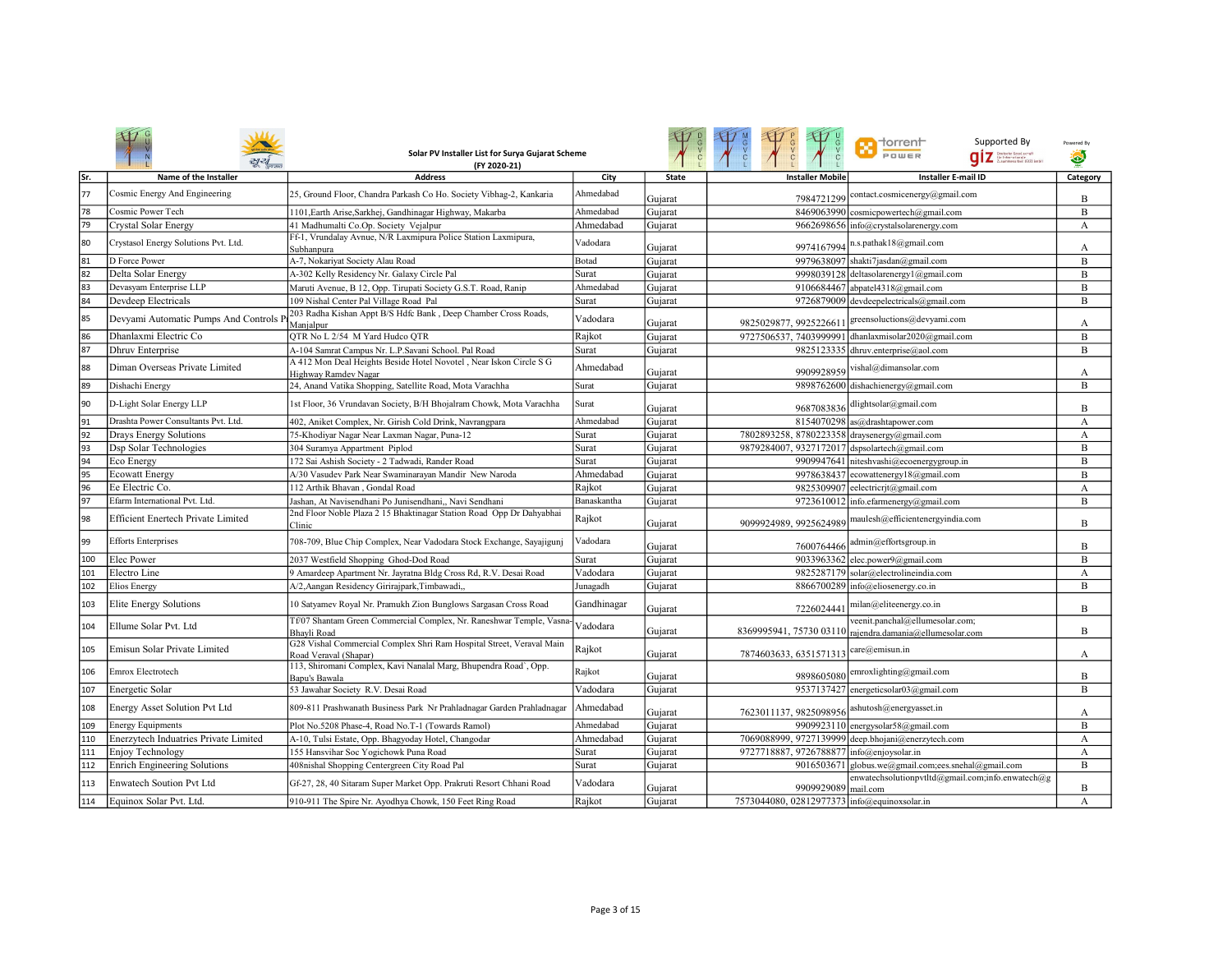|     |                                        | Solar PV Installer List for Surya Gujarat Scheme<br>(FY 2020-21)                              |             |              |                                               | <b>n</b> dorrent<br>Supported By<br>POWER                                                   | Powered By<br>O |
|-----|----------------------------------------|-----------------------------------------------------------------------------------------------|-------------|--------------|-----------------------------------------------|---------------------------------------------------------------------------------------------|-----------------|
| Sr. | Name of the Installer                  | <b>Address</b>                                                                                | City        | <b>State</b> | <b>Installer Mobile</b>                       | <b>Installer E-mail ID</b>                                                                  | Category        |
| 77  | Cosmic Energy And Engineering          | 25, Ground Floor, Chandra Parkash Co Ho. Society Vibhag-2, Kankaria                           | Ahmedabad   | Gujarat      | 7984721299                                    | contact.cosmicenergy@gmail.com                                                              | B               |
| 78  | Cosmic Power Tech                      | 1101, Earth Arise, Sarkhej, Gandhinagar Highway, Makarba                                      | Ahmedabad   | Gujarat      |                                               | 8469063990 cosmicpowertech@gmail.com                                                        | B               |
| 79  | Crystal Solar Energy                   | 41 Madhumalti Co.Op. Society Vejalpur                                                         | Ahmedabad   | Gujarat      |                                               | 9662698656 info@crystalsolarenergy.com                                                      | А               |
| 80  | Crystasol Energy Solutions Pvt. Ltd.   | Ff-1, Vrundalay Avnue, N/R Laxmipura Police Station Laxmipura,<br>Subhanpura                  | Vadodara    | Gujarat      | 9974167994                                    | n.s.pathak18@gmail.com                                                                      | А               |
| 81  | D Force Power                          | A-7, Nokariyat Society Alau Road                                                              | Botad       | Gujarat      | 9979638097                                    | shakti7jasdan@gmail.com                                                                     | B               |
| 82  | Delta Solar Energy                     | A-302 Kelly Residency Nr. Galaxy Circle Pal                                                   | Surat       | Gujarat      | 9998039128                                    | deltasolarenergy1@gmail.com                                                                 | B               |
| 83  | Devasyam Enterprise LLP                | Maruti Avenue, B 12, Opp. Tirupati Society G.S.T. Road, Ranip                                 | Ahmedabad   | Gujarat      | 9106684467                                    | abpatel4318@gmail.com                                                                       | B               |
| 84  | Devdeep Electricals                    | 109 Nishal Center Pal Village Road Pal                                                        | Surat       | Gujarat      |                                               | 9726879009 devdeepelectricals@gmail.com                                                     | B               |
| 85  | Devyami Automatic Pumps And Controls P | 203 Radha Kishan Appt B/S Hdfc Bank, Deep Chamber Cross Roads,<br>Manjalpur                   | Vadodara    | Gujarat      | 9825029877, 9925226611                        | greensoluctions@devyami.com                                                                 | А               |
| 86  | Dhanlaxmi Electric Co                  | OTR No L 2/54 M Yard Hudco OTR                                                                | Rajkot      | Gujarat      | 9727506537, 7403999991                        | dhanlaxmisolar2020@gmail.com                                                                | B               |
| 87  | Dhruv Enterprise                       | A-104 Samrat Campus Nr. L.P.Savani School. Pal Road                                           | Surat       | Gujarat      |                                               | 9825123335 dhruv.enterprise@aol.com                                                         | $\, {\bf B}$    |
| 88  | Diman Overseas Private Limited         | A 412 Mon Deal Heights Beside Hotel Novotel, Near Iskon Circle S G<br>Highway Ramdev Nagar    | Ahmedabad   | Gujarat      | 9909928959                                    | vishal@dimansolar.com                                                                       | А               |
| 89  | Dishachi Energy                        | 24, Anand Vatika Shopping, Satellite Road, Mota Varachha                                      | Surat       | Gujarat      |                                               | 9898762600 dishachienergy@gmail.com                                                         | B               |
| 90  | D-Light Solar Energy LLP               | 1st Floor, 36 Vrundavan Society, B/H Bhojalram Chowk, Mota Varachha                           | Surat       | Gujarat      |                                               | 9687083836 dlightsolar@gmail.com                                                            | B               |
| 91  | Drashta Power Consultants Pvt. Ltd.    | 402, Aniket Complex, Nr. Girish Cold Drink, Navrangpara                                       | Ahmedabad   | Gujarat      |                                               | 8154070298 as@drashtapower.com                                                              | A               |
| 92  | Drays Energy Solutions                 | 75-Khodiyar Nagar Near Laxman Nagar, Puna-12                                                  | Surat       | Gujarat      | 7802893258, 8780223358 draysenergy@gmail.com  |                                                                                             | А               |
| 93  | Dsp Solar Technologies                 | 304 Suramya Appartment Piplod                                                                 | Surat       | Gujarat      | 9879284007, 9327172017 dspsolartech@gmail.com |                                                                                             | B               |
| 94  | Eco Energy                             | 172 Sai Ashish Society - 2 Tadwadi, Rander Road                                               | Surat       | Gujarat      |                                               | 9909947641 niteshvashi@ecoenergygroup.in                                                    | B               |
| 95  | <b>Ecowatt Energy</b>                  | A/30 Vasudev Park Near Swaminarayan Mandir New Naroda                                         | Ahmedabad   | Gujarat      |                                               | 9978638437 ecowattenergy18@gmail.com                                                        | B               |
| 96  | Ee Electric Co.                        | 112 Arthik Bhavan, Gondal Road                                                                | Rajkot      | Gujarat      |                                               | 9825309907 eelectricrjt@gmail.com                                                           | A               |
| 97  | Efarm International Pvt. Ltd.          | Jashan, At Navisendhani Po Junisendhani,, Navi Sendhani                                       | Banaskantha | Gujarat      | 9723610012                                    | info.efarmenergy@gmail.com                                                                  | B               |
| 98  | Efficient Enertech Private Limited     | 2nd Floor Noble Plaza 2 15 Bhaktinagar Station Road Opp Dr Dahyabhai<br>Clinic                | Rajkot      | Gujarat      | 9099924989, 9925624989                        | maulesh@efficientenergyindia.com                                                            | B               |
| 99  | <b>Efforts Enterprises</b>             | 708-709, Blue Chip Complex, Near Vadodara Stock Exchange, Sayajigunj                          | Vadodara    | Gujarat      | 7600764466                                    | admin@effortsgroup.in                                                                       | B               |
| 100 | Elec Power                             | 2037 Westfield Shopping Ghod-Dod Road                                                         | Surat       | Gujarat      |                                               | 9033963362 elec.power9@gmail.com                                                            | B               |
| 101 | Electro Line                           | 9 Amardeep Apartment Nr. Jayratna Bldg Cross Rd, R.V. Desai Road                              | Vadodara    | Gujarat      |                                               | 9825287179 solar@electrolineindia.com                                                       | А               |
| 102 | <b>Elios Energy</b>                    | A/2, Aangan Residency Girirajpark, Timbawadi,,                                                | Junagadh    | Gujarat      |                                               | 8866700289 info@eliosenergy.co.in                                                           | B               |
| 103 | Elite Energy Solutions                 | 10 Satyamev Royal Nr. Pramukh Zion Bunglows Sargasan Cross Road                               | Gandhinagar | Gujarat      | 7226024441                                    | milan@eliteenergy.co.in                                                                     | B               |
| 104 | Ellume Solar Pvt. Ltd                  | Tf/07 Shantam Green Commercial Complex, Nr. Raneshwar Temple, Vasna-<br><b>Bhavli</b> Road    | Vadodara    | Gujarat      |                                               | veenit.panchal@ellumesolar.com;<br>8369995941, 75730 03110 rajendra.damania@ellumesolar.com | B               |
| 105 | Emisun Solar Private Limited           | G28 Vishal Commercial Complex Shri Ram Hospital Street, Veraval Main<br>Road Veraval (Shapar) | Rajkot      | Gujarat      | 7874603633, 6351571313                        | care@emisun.in                                                                              | А               |
| 106 | Emrox Electrotech                      | 113, Shiromani Complex, Kavi Nanalal Marg, Bhupendra Road', Opp.<br>Bapu's Bawala             | Rajkot      | Gujarat      | 9898605080                                    | emroxlighting@gmail.com                                                                     | B               |
| 107 | Energetic Solar                        | 53 Jawahar Society R.V. Desai Road                                                            | Vadodara    | Gujarat      |                                               | 9537137427 energeticsolar03@gmail.com                                                       | B               |
| 108 | Energy Asset Solution Pvt Ltd          | 809-811 Prashwanath Business Park Nr Prahladnagar Garden Prahladnagar                         | Ahmedabad   | Gujarat      | 7623011137, 9825098956                        | ashutosh@energyasset.in                                                                     | А               |
| 109 | <b>Energy Equipments</b>               | Plot No.5208 Phase-4, Road No.T-1 (Towards Ramol)                                             | Ahmedabad   | Gujarat      |                                               | 9909923110 energysolar58@gmail.com                                                          | $\, {\bf B}$    |
| 110 | Enerzytech Induatries Private Limited  | A-10, Tulsi Estate, Opp. Bhagyoday Hotel, Changodar                                           | Ahmedabad   | Gujarat      |                                               | 7069088999, 9727139999 deep.bhojani@enerzytech.com                                          | A               |
| 111 | Enjoy Technology                       | 155 Hansvihar Soc Yogichowk Puna Road                                                         | Surat       | Gujarat      | 9727718887, 9726788877                        | info@enjoysolar.in                                                                          | А               |
| 112 | <b>Enrich Engineering Solutions</b>    | 408nishal Shopping Centergreen City Road Pal                                                  | Surat       | Gujarat      |                                               | 9016503671 globus.we@gmail.com;ees.snehal@gmail.com                                         | B               |
| 113 | Enwatech Soution Pvt Ltd               | Gf-27, 28, 40 Sitaram Super Market Opp. Prakruti Resort Chhani Road                           | Vadodara    | Gujarat      | 9909929089 mail.com                           | enwatechsolutionpvtltd@gmail.com;info.enwatech@g                                            | B               |
| 114 | Equinox Solar Pvt. Ltd.                | 910-911 The Spire Nr. Ayodhya Chowk, 150 Feet Ring Road                                       | Rajkot      | Gujarat      | 7573044080, 02812977373 info@equinoxsolar.in  |                                                                                             | А               |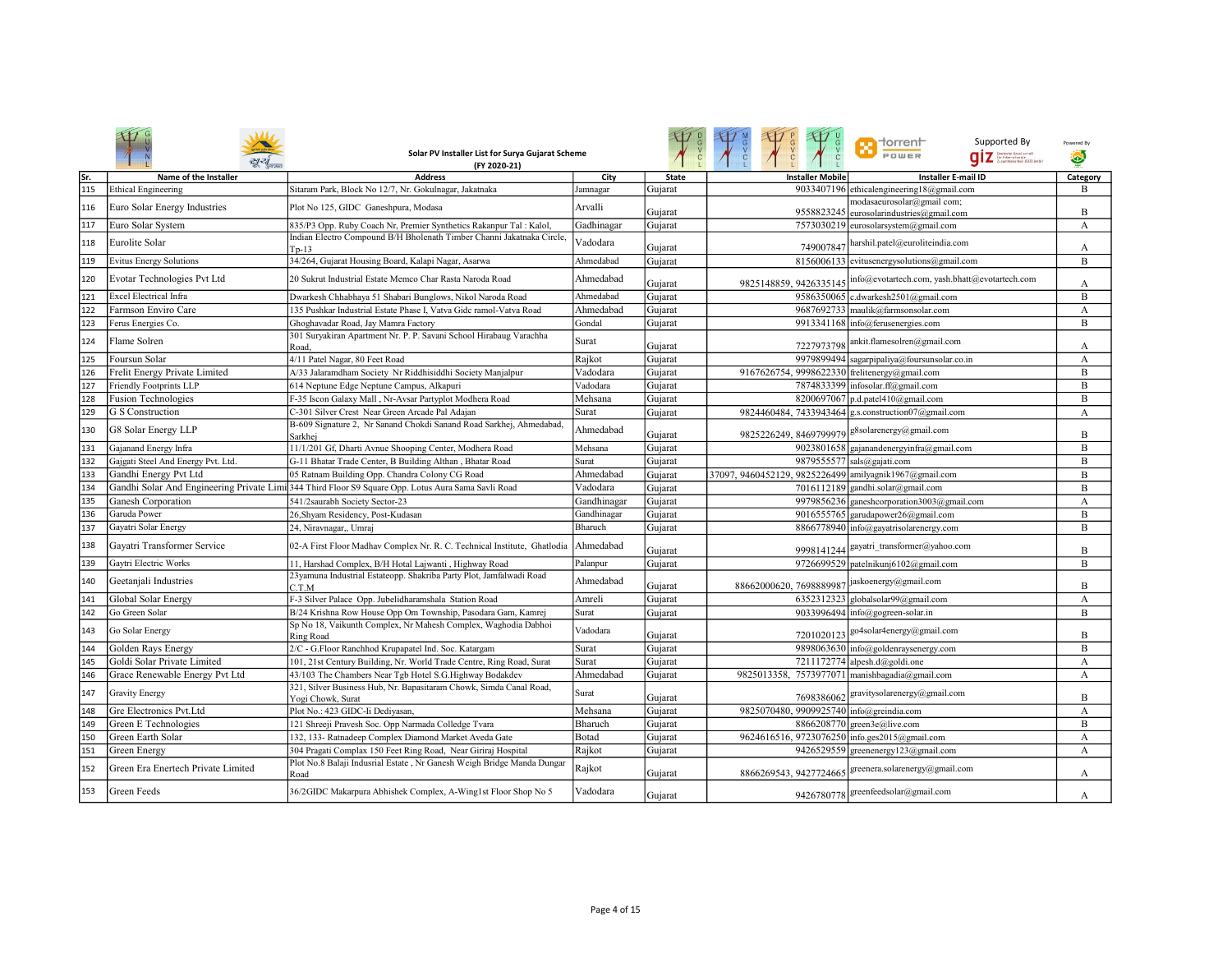|      |                                    | Solar PV Installer List for Surya Gujarat Scheme<br>(FY 2020-21)                                               |             |              |                                                        | ⊣orren⊢<br>Supported By<br>POWER<br>.<br>Grintschr Gesel.comatt<br>Graummenarbeit (G12) Embl | Powered By<br>۵ |
|------|------------------------------------|----------------------------------------------------------------------------------------------------------------|-------------|--------------|--------------------------------------------------------|----------------------------------------------------------------------------------------------|-----------------|
| lSr. | Name of the Installer              | <b>Address</b>                                                                                                 | City        | <b>State</b> | <b>Installer Mobile</b>                                | <b>Installer E-mail ID</b>                                                                   | Category        |
| 115  | <b>Ethical Engineering</b>         | Sitaram Park, Block No 12/7, Nr. Gokulnagar, Jakatnaka                                                         | Jamnagar    | Gujarat      |                                                        | 9033407196 ethicalengineering18@gmail.com                                                    | B               |
| 116  | Euro Solar Energy Industries       | Plot No 125, GIDC Ganeshpura, Modasa                                                                           | Arvalli     | Gujarat      |                                                        | modasaeurosolar@gmail com;<br>9558823245 eurosolarindustries@gmail.com                       | B               |
| 117  | Euro Solar System                  | 835/P3 Opp. Ruby Coach Nr, Premier Synthetics Rakanpur Tal: Kalol,                                             | Gadhinagar  | Gujarat      |                                                        | 7573030219 eurosolarsystem@gmail.com                                                         | A               |
| 118  | Eurolite Solar                     | Indian Electro Compound B/H Bholenath Timber Channi Jakatnaka Circle.<br>Tp-13                                 | Vadodara    | Gujarat      | 749007847                                              | harshil.patel@euroliteindia.com                                                              | А               |
| 119  | <b>Evitus Energy Solutions</b>     | 34/264, Gujarat Housing Board, Kalapi Nagar, Asarwa                                                            | Ahmedabad   | Gujarat      |                                                        | 8156006133 evitusenergysolutions@gmail.com                                                   | B               |
| 120  | Evotar Technologies Pvt Ltd        | 20 Sukrut Industrial Estate Memco Char Rasta Naroda Road                                                       | Ahmedabad   | Gujarat      | 9825148859, 9426335145                                 | info@evotartech.com, yash.bhatt@evotartech.com                                               | А               |
| 121  | <b>Excel Electrical Infra</b>      | Dwarkesh Chhabhaya 51 Shabari Bunglows, Nikol Naroda Road                                                      | Ahmedabad   | Gujarat      |                                                        | 9586350065 c.dwarkesh2501@gmail.com                                                          | B               |
| 122  | Farmson Enviro Care                | 135 Pushkar Industrial Estate Phase I. Vatva Gidc ramol-Vatva Road                                             | Ahmedabad   | Gujarat      |                                                        | 9687692733 maulik@farmsonsolar.com                                                           | А               |
| 123  | Ferus Energies Co.                 | Ghoghavadar Road, Jay Mamra Factory                                                                            | Gondal      | Gujarat      |                                                        | 9913341168 info@ferusenergies.com                                                            | B               |
| 124  | Flame Solren                       | 301 Suryakiran Apartment Nr. P. P. Savani School Hirabaug Varachha<br>Road.                                    | Surat       | Gujarat      | 7227973798                                             | ankit.flamesolren@gmail.com                                                                  | А               |
| 125  | Foursun Solar                      | 4/11 Patel Nagar, 80 Feet Road                                                                                 | Rajkot      | Gujarat      |                                                        | 9979899494 sagarpipaliya@foursunsolar.co.in                                                  | A               |
| 126  | Frelit Energy Private Limited      | A/33 Jalaramdham Society Nr Riddhisiddhi Society Manjalpur                                                     | Vadodara    | Gujarat      | 9167626754, 9998622330 frelitenergy@gmail.com          |                                                                                              | B               |
| 127  | <b>Friendly Footprints LLP</b>     | 614 Neptune Edge Neptune Campus, Alkapuri                                                                      | Vadodara    | Gujarat      |                                                        | 7874833399 infosolar.ff@gmail.com                                                            | B               |
| 128  | <b>Fusion Technologies</b>         | F-35 Iscon Galaxy Mall, Nr-Avsar Partyplot Modhera Road                                                        | Mehsana     | Gujarat      |                                                        | 8200697067   p.d. patel 410@gmail.com                                                        | B               |
| 129  | G S Construction                   | C-301 Silver Crest Near Green Arcade Pal Adajan                                                                | Surat       | Gujarat      |                                                        | 9824460484, 7433943464 g.s.construction07@gmail.com                                          | A               |
| 130  | G8 Solar Energy LLP                | B-609 Signature 2, Nr Sanand Chokdi Sanand Road Sarkhej, Ahmedabad<br>Sarkhei                                  | Ahmedabad   | Gujarat      | 9825226249, 8469799979 g8solarenergy@gmail.com         |                                                                                              | B               |
| 131  | Gajanand Energy Infra              | 11/1/201 Gf, Dharti Avnue Shooping Center, Modhera Road                                                        | Mehsana     | Gujarat      |                                                        | 9023801658 gajanandenergyinfra@gmail.com                                                     | B               |
| 132  | Gajgati Steel And Energy Pvt. Ltd. | G-11 Bhatar Trade Center, B Building Althan, Bhatar Road                                                       | Surat       | Gujarat      |                                                        | 9879555577 sals@gajati.com                                                                   | B               |
| 133  | Gandhi Energy Pvt Ltd              | 05 Ratnam Building Opp. Chandra Colony CG Road                                                                 | Ahmedabad   | Gujarat      | 37097, 9460452129, 9825226499 amilyagnik1967@gmail.com |                                                                                              | B               |
| 134  |                                    | Gandhi Solar And Engineering Private Limi <sup>344</sup> Third Floor S9 Square Opp. Lotus Aura Sama Savli Road | Vadodara    | Gujarat      |                                                        | 7016112189 gandhi.solar@gmail.com                                                            | B               |
| 135  | Ganesh Corporation                 | 541/2saurabh Society Sector-23                                                                                 | Gandhinagar | Gujarat      |                                                        | 9979856236 ganeshcorporation3003@gmail.com                                                   | A               |
| 136  | Garuda Power                       | 26, Shyam Residency, Post-Kudasan                                                                              | Gandhinagar | Gujarat      |                                                        | 9016555765 garudapower26@gmail.com                                                           | B               |
| 137  | Gayatri Solar Energy               | 24, Niravnagar,, Umraj                                                                                         | Bharuch     | Gujarat      |                                                        | 8866778940 info@gayatrisolarenergy.com                                                       | B               |
| 138  | Gayatri Transformer Service        | 02-A First Floor Madhav Complex Nr. R. C. Technical Institute, Ghatlodia                                       | Ahmedabad   | Gujarat      |                                                        | 9998141244 gayatri_transformer@yahoo.com                                                     | B               |
| 139  | Gaytri Electric Works              | 11, Harshad Complex, B/H Hotal Lajwanti, Highway Road                                                          | Palanpur    | Gujarat      |                                                        | 9726699529 patelnikunj6102@gmail.com                                                         | B               |
| 140  | Geetanjali Industries              | 23yamuna Industrial Estateopp. Shakriba Party Plot, Jamfalwadi Road<br>C.T.M                                   | Ahmedabad   | Gujarat      | 88662000620, 7698889987                                | jaskoenergy@gmail.com                                                                        | B               |
| 141  | Global Solar Energy                | F-3 Silver Palace Opp. Jubelidharamshala Station Road                                                          | Amreli      | Gujarat      |                                                        | $6352312323$ globalsolar99@gmail.com                                                         | А               |
| 142  | Go Green Solar                     | B/24 Krishna Row House Opp Om Township, Pasodara Gam, Kamrej                                                   | Surat       | Gujarat      |                                                        | 9033996494 info@gogreen-solar.in                                                             | B               |
| 143  | Go Solar Energy                    | Sp No 18, Vaikunth Complex, Nr Mahesh Complex, Waghodia Dabhoi<br><b>Ring Road</b>                             | Vadodara    | Gujarat      | 7201020123                                             | go4solar4energy@gmail.com                                                                    | B               |
| 144  | Golden Rays Energy                 | 2/C - G.Floor Ranchhod Krupapatel Ind. Soc. Katargam                                                           | Surat       | Gujarat      |                                                        | 9898063630 info@goldenraysenergy.com                                                         | B               |
| 145  | Goldi Solar Private Limited        | 101, 21st Century Building, Nr. World Trade Centre, Ring Road, Surat                                           | Surat       | Gujarat      |                                                        | 7211172774 alpesh.d@goldi.one                                                                | А               |
| 146  | Grace Renewable Energy Pvt Ltd     | 43/103 The Chambers Near Tgb Hotel S.G.Highway Bodakdev                                                        | Ahmedabad   | Gujarat      | 9825013358, 7573977071 manishbagadia@gmail.com         |                                                                                              | A               |
| 147  | <b>Gravity Energy</b>              | 321, Silver Business Hub, Nr. Bapasitaram Chowk, Simda Canal Road,<br>Yogi Chowk, Surat                        | Surat       | Gujarat      | 7698386062                                             | gravitysolarenergy@gmail.com                                                                 | B               |
| 148  | Gre Electronics Pvt.Ltd            | Plot No.: 423 GIDC-Ii Dediyasan,                                                                               | Mehsana     | Gujarat      | 9825070480, 9909925740 info@greindia.com               |                                                                                              | A               |
| 149  | Green E Technologies               | 121 Shreeji Pravesh Soc. Opp Narmada Colledge Tvara                                                            | Bharuch     | Gujarat      |                                                        | 8866208770 green3e@live.com                                                                  | B               |
| 150  | Green Earth Solar                  | 132, 133- Ratnadeep Complex Diamond Market Aveda Gate                                                          | Botad       | Gujarat      | 9624616516, 9723076250 info.ges2015@gmail.com          |                                                                                              | A               |
| 151  | Green Energy                       | 304 Pragati Complax 150 Feet Ring Road, Near Giriraj Hospital                                                  | Rajkot      | Gujarat      |                                                        | 9426529559 greenenergy123@gmail.com                                                          | А               |
| 152  | Green Era Enertech Private Limited | Plot No.8 Balaji Indusrial Estate, Nr Ganesh Weigh Bridge Manda Dungar<br>Road                                 | Rajkot      | Gujarat      | 8866269543, 9427724665                                 | greenera.solarenergy@gmail.com                                                               | А               |
| 153  | Green Feeds                        | 36/2GIDC Makarpura Abhishek Complex, A-Wing1st Floor Shop No 5                                                 | Vadodara    | Gujarat      |                                                        | 9426780778 greenfeedsolar@gmail.com                                                          | А               |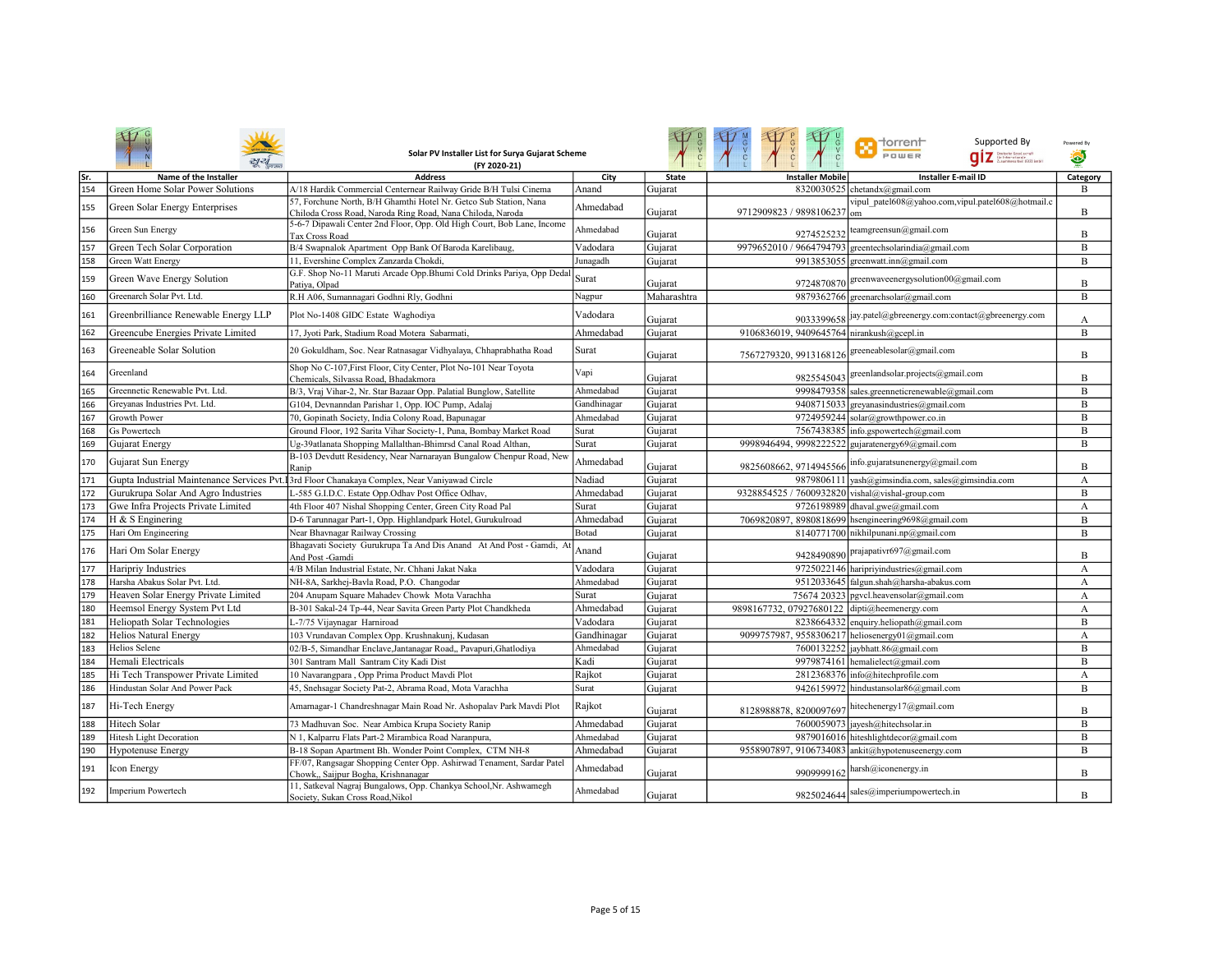|     |                                      | Solar PV Installer List for Surya Gujarat Scheme<br>(FY 2020-21)                                                                |             |              |                                                  | Supported By<br><b>Torrent</b><br>POWER<br><b>QIZ</b> Stetistic Georgia cont | Powered By<br>۵ |
|-----|--------------------------------------|---------------------------------------------------------------------------------------------------------------------------------|-------------|--------------|--------------------------------------------------|------------------------------------------------------------------------------|-----------------|
| Sr. | Name of the Installer                | <b>Address</b>                                                                                                                  | City        | <b>State</b> | <b>Installer Mobile</b>                          | <b>Installer E-mail ID</b>                                                   | Category        |
| 154 | Green Home Solar Power Solutions     | A/18 Hardik Commercial Centernear Railway Gride B/H Tulsi Cinema                                                                | Anand       | Gujarat      |                                                  | 8320030525 chetandx@gmail.com                                                | $\mathbf{B}$    |
| 155 | Green Solar Energy Enterprises       | 57, Forchune North, B/H Ghamthi Hotel Nr. Getco Sub Station, Nana<br>Chiloda Cross Road, Naroda Ring Road, Nana Chiloda, Naroda | Ahmedabad   | Gujarat      | 9712909823 / 9898106237 om                       | vipul patel608@yahoo.com,vipul.patel608@hotmail.c                            | B               |
| 156 | Green Sun Energy                     | 5-6-7 Dipawali Center 2nd Floor, Opp. Old High Court, Bob Lane, Income<br>Tax Cross Road                                        | Ahmedabad   | Gujarat      | 9274525232                                       | teamgreensun@gmail.com                                                       | B               |
| 157 | Green Tech Solar Corporation         | B/4 Swapnalok Apartment Opp Bank Of Baroda Karelibaug,                                                                          | Vadodara    | Gujarat      |                                                  | 9979652010 / 9664794793 greentechsolarindia@gmail.com                        | B               |
| 158 | Green Watt Energy                    | 11, Evershine Complex Zanzarda Chokdi,                                                                                          | Junagadh    | Gujarat      |                                                  | 9913853055 greenwatt.inn@gmail.com                                           | B               |
| 159 | Green Wave Energy Solution           | G.F. Shop No-11 Maruti Arcade Opp.Bhumi Cold Drinks Pariya, Opp Dedal<br>Patiya, Olpad                                          | Surat       | Gujarat      |                                                  | 9724870870 greenwaveenergysolution00@gmail.com                               | B               |
| 160 | Greenarch Solar Pvt. Ltd.            | R.H A06, Sumannagari Godhni Rly, Godhni                                                                                         | Nagpur      | Maharashtra  |                                                  | 9879362766 greenarchsolar@gmail.com                                          | B               |
| 161 | Greenbrilliance Renewable Energy LLP | Plot No-1408 GIDC Estate Waghodiya                                                                                              | Vadodara    | Gujarat      |                                                  | 9033399658 jay.patel@gbreenergy.com:contact@gbreenergy.com                   | А               |
| 162 | Greencube Energies Private Limited   | 17, Jyoti Park, Stadium Road Motera Sabarmati,                                                                                  | Ahmedabad   | Gujarat      | 9106836019, 9409645764 nirankush@gcepl.in        |                                                                              | B               |
| 163 | Greeneable Solar Solution            | 20 Gokuldham, Soc. Near Ratnasagar Vidhyalaya, Chhaprabhatha Road                                                               | Surat       | Gujarat      | 7567279320, 9913168126 greeneablesolar@gmail.com |                                                                              | B               |
| 164 | Greenland                            | Shop No C-107, First Floor, City Center, Plot No-101 Near Toyota<br>Chemicals, Silvassa Road, Bhadakmora                        | Vapi        | Gujarat      | 9825545043                                       | greenlandsolar.projects@gmail.com                                            | B               |
| 165 | Greennetic Renewable Pvt. Ltd.       | B/3, Vraj Vihar-2, Nr. Star Bazaar Opp. Palatial Bunglow, Satellite                                                             | Ahmedabad   | Gujarat      |                                                  | 9998479358 sales.greenneticrenewable@gmail.com                               | B               |
| 166 | Grevanas Industries Pvt. Ltd.        | G104, Devnanndan Parishar 1, Opp. IOC Pump, Adalaj                                                                              | Gandhinagar | Gujarat      |                                                  | 9408715033 greyanasindustries@gmail.com                                      | $\, {\bf B}$    |
| 167 | Growth Power                         | 70, Gopinath Society, India Colony Road, Bapunagar                                                                              | Ahmedabad   | Gujarat      |                                                  | 9724959244 solar@growthpower.co.in                                           | B               |
| 168 | <b>Gs Powertech</b>                  | Ground Floor, 192 Sarita Vihar Society-1, Puna, Bombay Market Road                                                              | Surat       | Gujarat      |                                                  | 7567438385 info.gspowertech@gmail.com                                        | B               |
| 169 | Gujarat Energy                       | Ug-39atlanata Shopping Mallalthan-Bhimrsd Canal Road Althan,                                                                    | Surat       | Gujarat      | 9998946494, 9998222522 gujaratenergy69@gmail.com |                                                                              | B               |
| 170 | Gujarat Sun Energy                   | B-103 Devdutt Residency, Near Narnarayan Bungalow Chenpur Road, New<br>Ranip                                                    | Ahmedabad   | Gujarat      | 9825608662, 9714945566                           | info.gujaratsunenergy@gmail.com                                              | B               |
| 171 |                                      | Gupta Industrial Maintenance Services Pvt. 3rd Floor Chanakaya Complex, Near Vaniyawad Circle                                   | Nadiad      | Gujarat      |                                                  | 9879806111 yash@gimsindia.com, sales@gimsindia.com                           | A               |
| 172 | Gurukrupa Solar And Agro Industries  | L-585 G.I.D.C. Estate Opp.Odhav Post Office Odhav,                                                                              | Ahmedabad   | Gujarat      | 9328854525 / 7600932820 vishal@vishal-group.com  |                                                                              | $\, {\bf B}$    |
| 173 | Gwe Infra Projects Private Limited   | 4th Floor 407 Nishal Shopping Center, Green City Road Pal                                                                       | Surat       | Gujarat      |                                                  | 9726198989 dhaval.gwe@gmail.com                                              | A               |
| 174 | H & S Enginering                     | D-6 Tarunnagar Part-1, Opp. Highlandpark Hotel, Gurukulroad                                                                     | Ahmedabad   | Gujarat      |                                                  | 7069820897, 8980818699 hsengineering9698@gmail.com                           | B               |
| 175 | Hari Om Engineering                  | Near Bhavnagar Railway Crossing                                                                                                 | Botad       | Gujarat      |                                                  | 8140771700 nikhilpunani.np@gmail.com                                         | B               |
| 176 | Hari Om Solar Energy                 | Bhagavati Society Gurukrupa Ta And Dis Anand At And Post - Gamdi, At<br>And Post-Gamdi                                          | Anand       | Gujarat      |                                                  | 9428490890 prajapativr697@gmail.com                                          | B               |
| 177 | Haripriy Industries                  | 4/B Milan Industrial Estate, Nr. Chhani Jakat Naka                                                                              | Vadodara    | Gujarat      |                                                  | 9725022146 haripriyindustries@gmail.com                                      | А               |
| 178 | Harsha Abakus Solar Pvt. Ltd.        | NH-8A, Sarkhej-Bavla Road, P.O. Changodar                                                                                       | Ahmedabad   | Gujarat      |                                                  | 9512033645 falgun.shah@harsha-abakus.com                                     | A               |
| 179 | Heaven Solar Energy Private Limited  | 204 Anupam Square Mahadev Chowk Mota Varachha                                                                                   | Surat       | Gujarat      |                                                  | 75674 20323 pgvcl.heavensolar@gmail.com                                      | А               |
| 180 | Heemsol Energy System Pvt Ltd        | B-301 Sakal-24 Tp-44, Near Savita Green Party Plot Chandkheda                                                                   | Ahmedabad   | Gujarat      | 9898167732, 07927680122                          | dipti@heemenergy.com                                                         | А               |
| 181 | Heliopath Solar Technologies         | L-7/75 Vijaynagar Harniroad                                                                                                     | Vadodara    | Gujarat      | 8238664332                                       | enquiry.heliopath@gmail.com                                                  | B               |
| 182 | <b>Helios Natural Energy</b>         | 103 Vrundavan Complex Opp. Krushnakunj, Kudasan                                                                                 | Gandhinagar | Gujarat      | 9099757987, 9558306217 heliosenergy01@gmail.com  |                                                                              | A               |
| 183 | Helios Selene                        | 02/B-5, Simandhar Enclave, Jantanagar Road,, Pavapuri, Ghatlodiya                                                               | Ahmedabad   | Gujarat      |                                                  | 7600132252 jaybhatt.86@gmail.com                                             | B               |
| 184 | Hemali Electricals                   | 301 Santram Mall Santram City Kadi Dist                                                                                         | Kadi        | Gujarat      |                                                  | 9979874161 hemalielect@gmail.com                                             | B               |
| 185 | Hi Tech Transpower Private Limited   | 10 Navarangpara, Opp Prima Product Mavdi Plot                                                                                   | Rajkot      | Gujarat      |                                                  | 2812368376 info@hitechprofile.com                                            | A               |
| 186 | Hindustan Solar And Power Pack       | 45, Snehsagar Society Pat-2, Abrama Road, Mota Varachha                                                                         | Surat       | Gujarat      |                                                  | 9426159972 hindustansolar86@gmail.com                                        | B               |
| 187 | Hi-Tech Energy                       | Amarnagar-1 Chandreshnagar Main Road Nr. Ashopalav Park Mavdi Plot                                                              | Rajkot      | Gujarat      | 8128988878, 8200097697                           | hitechenergy17@gmail.com                                                     | B               |
| 188 | Hitech Solar                         | 73 Madhuvan Soc. Near Ambica Krupa Society Ranip                                                                                | Ahmedabad   | Gujarat      |                                                  | 7600059073 jayesh@hitechsolar.in                                             | B               |
| 189 | <b>Hitesh Light Decoration</b>       | N 1, Kalparru Flats Part-2 Mirambica Road Naranpura,                                                                            | Ahmedabad   | Gujarat      |                                                  | 9879016016 hiteshlightdecor@gmail.com                                        | B               |
| 190 | Hypotenuse Energy                    | B-18 Sopan Apartment Bh. Wonder Point Complex, CTM NH-8                                                                         | Ahmedabad   | Gujarat      |                                                  | 9558907897, 9106734083 ankit@hypotenuseenergy.com                            | B               |
| 191 | Icon Energy                          | FF/07, Rangsagar Shopping Center Opp. Ashirwad Tenament, Sardar Patel<br>Chowk,, Saijpur Bogha, Krishnanagar                    | Ahmedabad   | Gujarat      | 9909999162                                       | harsh@iconenergy.in                                                          | B               |
| 192 | <b>Imperium Powertech</b>            | 11, Satkeval Nagraj Bungalows, Opp. Chankya School, Nr. Ashwamegh<br>Society, Sukan Cross Road, Nikol                           | Ahmedabad   | Gujarat      |                                                  | 9825024644 sales@imperiumpowertech.in                                        | B               |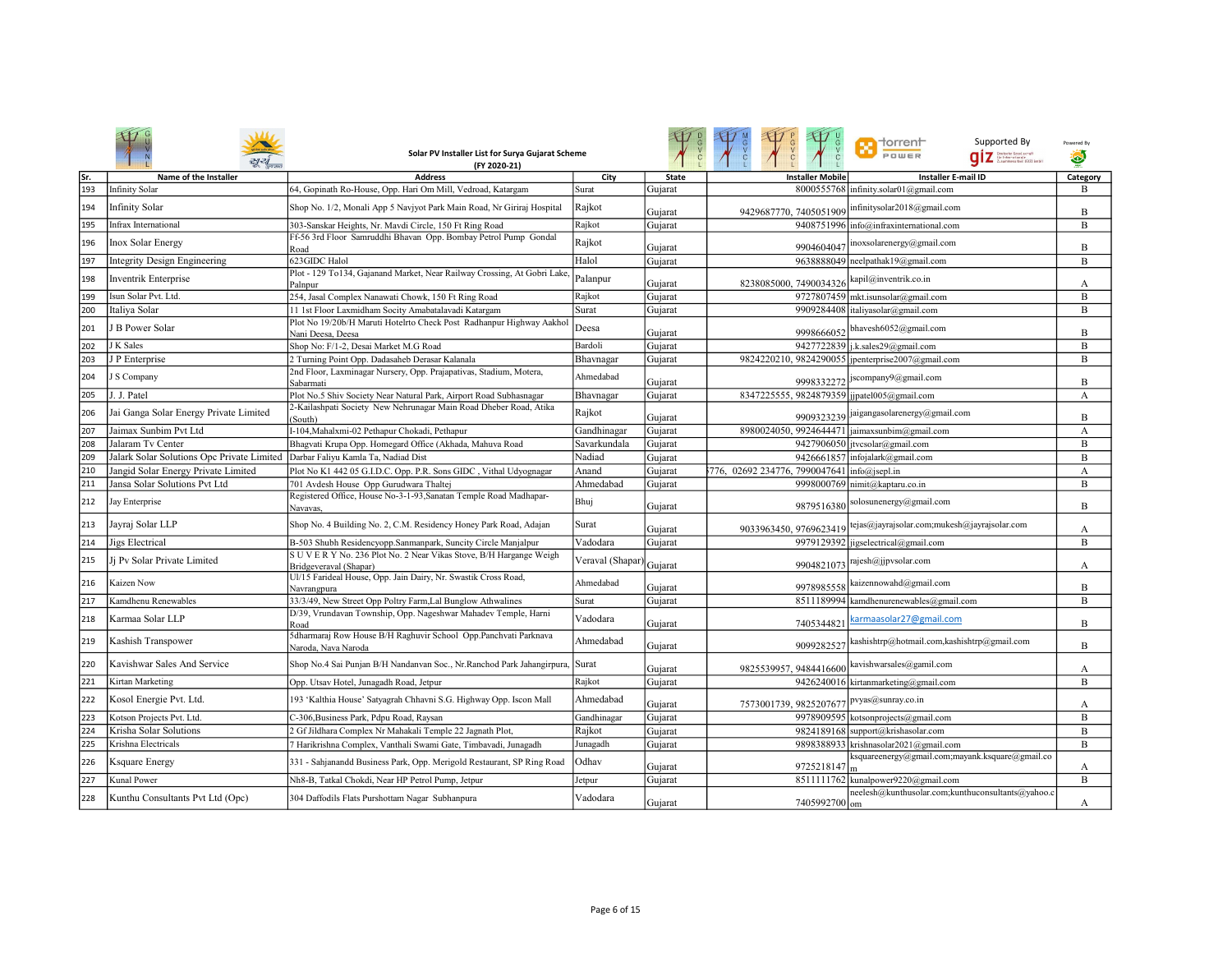|     |                                            | Solar PV Installer List for Surya Gujarat Scheme<br>(FY 2020-21)                              |                 |              |                                             | $\blacksquare$ Torrent<br>Supported By<br>POWER<br>.<br>Grutschs Gesel.com.ft<br>Zusammenarbeit (G12) Smbl | Powered By<br>۵ |
|-----|--------------------------------------------|-----------------------------------------------------------------------------------------------|-----------------|--------------|---------------------------------------------|------------------------------------------------------------------------------------------------------------|-----------------|
| Sr. | Name of the Installer                      | <b>Address</b>                                                                                | City            | <b>State</b> | <b>Installer Mobile</b>                     | <b>Installer E-mail ID</b>                                                                                 | Category        |
| 193 | <b>Infinity Solar</b>                      | 64, Gopinath Ro-House, Opp. Hari Om Mill, Vedroad, Katargam                                   | Surat           | Gujarat      |                                             | 8000555768 infinity.solar01@gmail.com                                                                      | B               |
| 194 | <b>Infinity Solar</b>                      | Shop No. 1/2, Monali App 5 Navjyot Park Main Road, Nr Giriraj Hospital                        | Rajkot          | Gujarat      | 9429687770, 7405051909                      | nfinitysolar2018@gmail.com                                                                                 | B               |
| 195 | Infrax International                       | 303-Sanskar Heights, Nr. Mavdi Circle, 150 Ft Ring Road                                       | Rajkot          | Gujarat      |                                             | 9408751996 info@infraxinternational.com                                                                    | B               |
| 196 | <b>Inox Solar Energy</b>                   | Ff-56 3rd Floor Samruddhi Bhavan Opp. Bombay Petrol Pump Gondal<br>Road                       | Rajkot          | Gujarat      | 9904604041                                  | noxsolarenergy@gmail.com                                                                                   | B               |
| 197 | <b>Integrity Design Engineering</b>        | 623GIDC Halol                                                                                 | Halol           | Gujarat      |                                             | 9638888049 neelpathak19@gmail.com                                                                          | B               |
| 198 | Inventrik Enterprise                       | Plot - 129 To134, Gajanand Market, Near Railway Crossing, At Gobri Lake<br>Palnpur            | Palanpur        | Gujarat      | 8238085000, 7490034326                      | kapil@inventrik.co.in                                                                                      | А               |
| 199 | Isun Solar Pvt. Ltd.                       | 254, Jasal Complex Nanawati Chowk, 150 Ft Ring Road                                           | Rajkot          | Gujarat      |                                             | 9727807459 mkt.isunsolar@gmail.com                                                                         | B               |
| 200 | Italiya Solar                              | 11 1st Floor Laxmidham Socity Amabatalavadi Katargam                                          | Surat           | Gujarat      | 9909284408                                  | italiyasolar@gmail.com                                                                                     | B               |
| 201 | B Power Solar                              | Plot No 19/20b/H Maruti Hotelrto Check Post Radhanpur Highway Aakhol<br>Nani Deesa, Deesa     | Deesa           | Gujarat      | 9998666052                                  | bhavesh6052@gmail.com                                                                                      | B               |
| 202 | J K Sales                                  | Shop No: F/1-2, Desai Market M.G Road                                                         | Bardoli         | Gujarat      |                                             | 9427722839 j.k.sales29@gmail.com                                                                           | B               |
| 203 | J P Enterprise                             | 2 Turning Point Opp. Dadasaheb Derasar Kalanala                                               | Bhavnagar       | Gujarat      |                                             | 9824220210, 9824290055 jpenterprise2007@gmail.com                                                          | B               |
| 204 | S Company                                  | 2nd Floor, Laxminagar Nursery, Opp. Prajapativas, Stadium, Motera,<br>Sabarmati               | Ahmedabad       | Gujarat      |                                             | 9998332272 Jscompany9@gmail.com                                                                            | B               |
| 205 | . J. Patel                                 | Plot No.5 Shiv Society Near Natural Park, Airport Road Subhasnagar                            | Bhavnagar       | Gujarat      | 8347225555, 9824879359 jjpatel005@gmail.com |                                                                                                            | A               |
| 206 | Jai Ganga Solar Energy Private Limited     | 2-Kailashpati Society New Nehrunagar Main Road Dheber Road, Atika<br>(South)                  | Rajkot          | Gujarat      | 9909323239                                  | jaigangasolarenergy@gmail.com                                                                              | B               |
| 207 | Jaimax Sunbim Pvt Ltd                      | I-104, Mahalxmi-02 Pethapur Chokadi, Pethapur                                                 | Gandhinagar     | Gujarat      | 8980024050, 9924644471                      | jaimaxsunbim@gmail.com                                                                                     | А               |
| 208 | Jalaram Tv Center                          | Bhagvati Krupa Opp. Homegard Office (Akhada, Mahuva Road                                      | Savarkundala    | Gujarat      | 9427906050                                  | tvcsolar@gmail.com                                                                                         | B               |
| 209 | Jalark Solar Solutions Opc Private Limited | Darbar Falivu Kamla Ta, Nadiad Dist                                                           | Nadiad          | Gujarat      | 9426661857                                  | nfojalark@gmail.com                                                                                        | B               |
| 210 | Jangid Solar Energy Private Limited        | Plot No K1 442 05 G.I.D.C. Opp. P.R. Sons GIDC, Vithal Udyognagar                             | Anand           | Gujarat      | 776, 02692 234776, 7990047641               | info@jsepl.in                                                                                              | A               |
| 211 | Jansa Solar Solutions Pvt Ltd              | 701 Avdesh House Opp Gurudwara Thaltej                                                        | Ahmedabad       | Gujarat      |                                             | 9998000769 nimit@kaptaru.co.in                                                                             | B               |
| 212 | Jay Enterprise                             | Registered Office, House No-3-1-93, Sanatan Temple Road Madhapar-<br>Navavas.                 | Bhuj            | Gujarat      | 9879516380                                  | solosunenergy@gmail.com                                                                                    | B               |
| 213 | Jayraj Solar LLP                           | Shop No. 4 Building No. 2, C.M. Residency Honey Park Road, Adajan                             | Surat           | Guiarat      | 9033963450, 9769623419                      | tejas@jayrajsolar.com;mukesh@jayrajsolar.com                                                               | A               |
| 214 | Jigs Electrical                            | B-503 Shubh Residencyopp.Sanmanpark, Suncity Circle Manjalpur                                 | Vadodara        | Guiarat      | 9979129392                                  | igselectrical@gmail.com                                                                                    | B               |
| 215 | Ji Pv Solar Private Limited                | S U V E R Y No. 236 Plot No. 2 Near Vikas Stove, B/H Hargange Weigh<br>Bridgeveraval (Shapar) | Veraval (Shapar | Gujarat      | 9904821073                                  | rajesh@jjpvsolar.com                                                                                       | А               |
| 216 | Kaizen Now                                 | Ul/15 Farideal House, Opp. Jain Dairy, Nr. Swastik Cross Road,<br>Navrangpura                 | Ahmedabad       | Gujarat      | 9978985558                                  | kaizennowahd@gmail.com                                                                                     | B               |
| 217 | Kamdhenu Renewables                        | 33/3/49, New Street Opp Poltry Farm, Lal Bunglow Athwalines                                   | Surat           | Gujarat      |                                             | 8511189994 kamdhenurenewables@gmail.com                                                                    | B               |
| 218 | Karmaa Solar LLP                           | D/39, Vrundavan Township, Opp. Nageshwar Mahadev Temple, Harni<br>Road                        | Vadodara        | Gujarat      | 7405344821                                  | armaasolar27@gmail.com                                                                                     | B               |
| 219 | Kashish Transpower                         | 5dharmaraj Row House B/H Raghuvir School Opp.Panchvati Parknava<br>Naroda, Nava Naroda        | Ahmedabad       | Gujarat      | 9099282527                                  | kashishtrp@hotmail.com,kashishtrp@gmail.com                                                                | B               |
| 220 | Kavishwar Sales And Service                | Shop No.4 Sai Punjan B/H Nandanvan Soc., Nr. Ranchod Park Jahangirpura, Surat                 |                 | Gujarat      | 9825539957, 9484416600                      | kavishwarsales@gamil.com                                                                                   | А               |
| 221 | Kirtan Marketing                           | Opp. Utsav Hotel, Junagadh Road, Jetpur                                                       | Rajkot          | Gujarat      |                                             | 9426240016 kirtanmarketing@gmail.com                                                                       | B               |
| 222 | Kosol Energie Pvt. Ltd.                    | 193 'Kalthia House' Satyagrah Chhavni S.G. Highway Opp. Iscon Mall                            | Ahmedabad       | Gujarat      | 7573001739, 9825207677                      | ovyas@sunray.co.in                                                                                         | А               |
| 223 | Kotson Projects Pvt. Ltd.                  | C-306, Business Park, Pdpu Road, Raysan                                                       | Gandhinagar     | Gujarat      |                                             | 9978909595 kotsonprojects@gmail.com                                                                        | B               |
| 224 | Krisha Solar Solutions                     | 2 Gf Jildhara Complex Nr Mahakali Temple 22 Jagnath Plot,                                     | Rajkot          | Gujarat      |                                             | 9824189168 support@krishasolar.com                                                                         | B               |
| 225 | Krishna Electricals                        | 7 Harikrishna Complex, Vanthali Swami Gate, Timbavadi, Junagadh                               | Junagadh        | Gujarat      |                                             | 9898388933 krishnasolar2021@gmail.com                                                                      | B               |
| 226 | Ksquare Energy                             | 331 - Sahjanandd Business Park, Opp. Merigold Restaurant, SP Ring Road                        | Odhav           | Gujarat      | 9725218147                                  | csquareenergy@gmail.com;mayank.ksquare@gmail.co                                                            | А               |
| 227 | Kunal Power                                | Nh8-B, Tatkal Chokdi, Near HP Petrol Pump, Jetpur                                             | Jetpur          | Gujarat      |                                             | 8511111762 kunalpower9220@gmail.com                                                                        | B               |
| 228 | Kunthu Consultants Pvt Ltd (Opc)           | 304 Daffodils Flats Purshottam Nagar Subhanpura                                               | Vadodara        | Gujarat      | 7405992700 om                               | neelesh@kunthusolar.com;kunthuconsultants@yahoo.c                                                          | А               |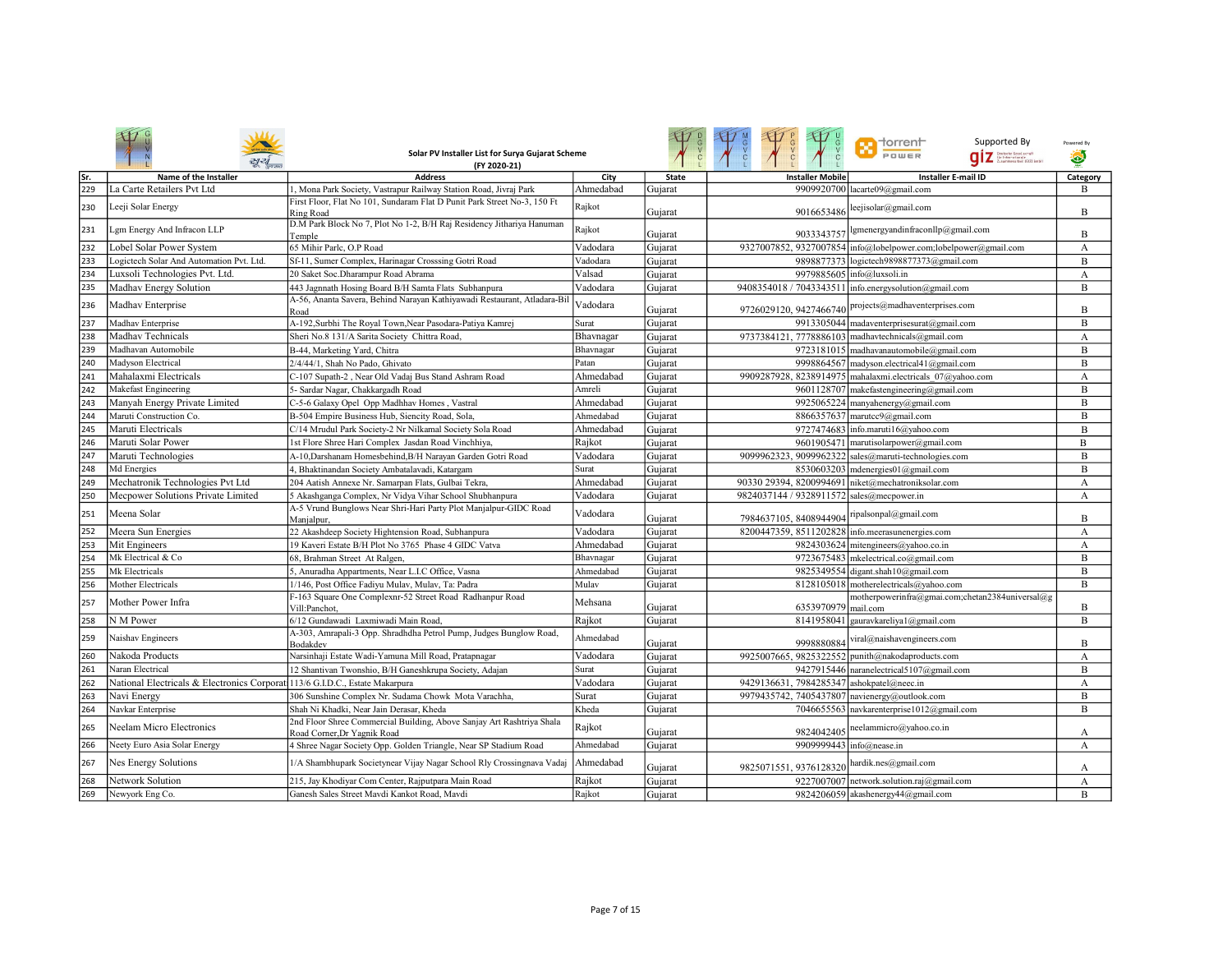|     |                                                                              | Solar PV Installer List for Surya Gujarat Scheme<br>(FY 2020-21)                                     |           |              |                                                  | <b>Th</b> dorrent<br>Supported By<br>POWER<br>.<br>Grifschr Gesel.com.ft<br>Zusammenarbeit (G12) Smbl | Powered By<br>۵ |
|-----|------------------------------------------------------------------------------|------------------------------------------------------------------------------------------------------|-----------|--------------|--------------------------------------------------|-------------------------------------------------------------------------------------------------------|-----------------|
| Sr. | Name of the Installer                                                        | <b>Address</b>                                                                                       | City      | <b>State</b> | <b>Installer Mobile</b>                          | <b>Installer E-mail ID</b>                                                                            | Category        |
| 229 | La Carte Retailers Pvt Ltd                                                   | 1, Mona Park Society, Vastrapur Railway Station Road, Jivraj Park                                    | Ahmedabad | Gujarat      | 9909920700                                       | lacarte $09@$ gmail.com                                                                               | B               |
| 230 | Leeji Solar Energy                                                           | First Floor, Flat No 101, Sundaram Flat D Punit Park Street No-3, 150 Ft<br><b>Ring Road</b>         | Rajkot    | Gujarat      | 9016653486                                       | leejisolar@gmail.com                                                                                  | B               |
| 231 | Lgm Energy And Infracon LLP                                                  | D.M Park Block No 7, Plot No 1-2, B/H Raj Residency Jithariya Hanuman<br>Temple                      | Rajkot    | Gujarat      | 9033343757                                       | gmenergyandinfraconllp@gmail.com                                                                      | B               |
| 232 | Lobel Solar Power System                                                     | 65 Mihir Parlc, O.P Road                                                                             | Vadodara  | Gujarat      |                                                  | 9327007852, 9327007854 info@lobelpower.com;lobelpower@gmail.com                                       | А               |
| 233 | Logictech Solar And Automation Pvt. Ltd.                                     | Sf-11, Sumer Complex, Harinagar Crosssing Gotri Road                                                 | Vadodara  | Gujarat      |                                                  | 9898877373 logictech9898877373@gmail.com                                                              | B               |
| 234 | Luxsoli Technologies Pvt. Ltd.                                               | 20 Saket Soc.Dharampur Road Abrama                                                                   | Valsad    | Gujarat      | 9979885605                                       | info@luxsoli.in                                                                                       | А               |
| 235 | Madhav Energy Solution                                                       | 443 Jagnnath Hosing Board B/H Samta Flats Subhanpura                                                 | Vadodara  | Gujarat      |                                                  | 9408354018 / 7043343511 info.energysolution@gmail.com                                                 | B               |
| 236 | Madhav Enterprise                                                            | A-56, Ananta Savera, Behind Narayan Kathiyawadi Restaurant, Atladara-Bi<br>Road                      | Vadodara  | Gujarat      | 9726029120, 9427466740                           | projects@madhaventerprises.com                                                                        | B               |
| 237 | Madhav Enterprise                                                            | A-192, Surbhi The Royal Town, Near Pasodara-Patiya Kamrej                                            | Surat     | Gujarat      |                                                  | 9913305044 madaventerprisesurat@gmail.com                                                             | B               |
| 238 | Madhav Technicals                                                            | Sheri No.8 131/A Sarita Society Chittra Road,                                                        | Bhavnagar | Gujarat      |                                                  | 9737384121, 7778886103 madhavtechnicals@gmail.com                                                     | А               |
| 239 | Madhavan Automobile                                                          | B-44, Marketing Yard, Chitra                                                                         | Bhavnagar | Gujarat      |                                                  | 9723181015 madhavanautomobile@gmail.com                                                               | B               |
| 240 | Madyson Electrical                                                           | 2/4/44/1, Shah No Pado, Ghivato                                                                      | Patan     | Gujarat      |                                                  | 9998864567 madyson.electrical41@gmail.com                                                             | B               |
| 241 | Mahalaxmi Electricals                                                        | C-107 Supath-2, Near Old Vadaj Bus Stand Ashram Road                                                 | Ahmedabad | Gujarat      |                                                  | 9909287928, 8238914975 mahalaxmi.electricals 07@yahoo.com                                             | A               |
| 242 | Makefast Engineering                                                         | 5- Sardar Nagar, Chakkargadh Road                                                                    | Amreli    | Gujarat      |                                                  | 9601128707 makefastengineering@gmail.com                                                              | B               |
| 243 | Manyah Energy Private Limited                                                | C-5-6 Galaxy Opel Opp Madhhav Homes, Vastral                                                         | Ahmedabad | Gujarat      |                                                  | 9925065224 manyahenergy@gmail.com                                                                     | B               |
| 244 | Maruti Construction Co.                                                      | B-504 Empire Business Hub, Siencity Road, Sola,                                                      | Ahmedabad | Gujarat      |                                                  | 8866357637 marutcc9@gmail.com                                                                         | B               |
| 245 | Maruti Electricals                                                           | C/14 Mrudul Park Society-2 Nr Nilkamal Society Sola Road                                             | Ahmedabad | Gujarat      | 9727474683                                       | info.maruti16@yahoo.com                                                                               | B               |
| 246 | Maruti Solar Power                                                           | 1st Flore Shree Hari Complex Jasdan Road Vinchhiya,                                                  | Rajkot    | Gujarat      |                                                  | 9601905471 marutisolarpower@gmail.com                                                                 | B               |
| 247 | Maruti Technologies                                                          | A-10, Darshanam Homesbehind, B/H Narayan Garden Gotri Road                                           | Vadodara  | Gujarat      |                                                  | 9099962323, 9099962322 sales@maruti-technologies.com                                                  | B               |
| 248 | Md Energies                                                                  | 4, Bhaktinandan Society Ambatalavadi, Katargam                                                       | Surat     | Gujarat      |                                                  | 8530603203 mdenergies01@gmail.com                                                                     | B               |
| 249 | Mechatronik Technologies Pvt Ltd                                             | 204 Aatish Annexe Nr. Samarpan Flats, Gulbai Tekra,                                                  | Ahmedabad | Gujarat      |                                                  | 90330 29394, 8200994691 niket@mechatroniksolar.com                                                    | A               |
| 250 | Mecpower Solutions Private Limited                                           | 5 Akashganga Complex, Nr Vidya Vihar School Shubhanpura                                              | Vadodara  | Gujarat      | 9824037144 / 9328911572 sales@mecpower.in        |                                                                                                       | A               |
| 251 | Meena Solar                                                                  | A-5 Vrund Bunglows Near Shri-Hari Party Plot Manjalpur-GIDC Road<br>Manjalpur,                       | Vadodara  | Gujarat      | 7984637105, 8408944904                           | ripalsonpal@gmail.com                                                                                 | B               |
| 252 | Meera Sun Energies                                                           | 22 Akashdeep Society Hightension Road, Subhanpura                                                    | Vadodara  | Gujarat      | 8200447359, 8511202828 info.meerasunenergies.com |                                                                                                       | A               |
| 253 | Mit Engineers                                                                | 19 Kaveri Estate B/H Plot No 3765 Phase 4 GIDC Vatva                                                 | Ahmedabad | Gujarat      |                                                  | 9824303624 mitengineers@yahoo.co.in                                                                   | A               |
| 254 | Mk Electrical & Co                                                           | 68, Brahman Street At Ralgen,                                                                        | Bhavnagar | Gujarat      |                                                  | 9723675483 mkelectrical.co@gmail.com                                                                  | B               |
| 255 | Mk Electricals                                                               | 5, Anuradha Appartments, Near L.I.C Office, Vasna                                                    | Ahmedabad | Gujarat      |                                                  | 9825349554 digant.shah10@gmail.com                                                                    | B               |
| 256 | Mother Electricals                                                           | 1/146, Post Office Fadiyu Mulav, Mulav, Ta: Padra                                                    | Mulav     | Gujarat      |                                                  | 8128105018 motherelectricals@yahoo.com                                                                | $\overline{B}$  |
| 257 | Mother Power Infra                                                           | F-163 Square One Complexnr-52 Street Road Radhanpur Road<br>Vill:Panchot.                            | Mehsana   | Gujarat      | 6353970979                                       | motherpowerinfra@gmai.com;chetan2384universal@g<br>mail.com                                           | B               |
| 258 | N M Power                                                                    | 6/12 Gundawadi Laxmiwadi Main Road,                                                                  | Rajkot    | Gujarat      | 8141958041                                       | gauravkareliya1@gmail.com                                                                             | B               |
| 259 | Naishav Engineers                                                            | A-303, Amrapali-3 Opp. Shradhdha Petrol Pump, Judges Bunglow Road,<br>Bodakdev                       | Ahmedabad | Gujarat      | 9998880884                                       | /iral@naishavengineers.com                                                                            | B               |
| 260 | Nakoda Products                                                              | Narsinhaji Estate Wadi-Yamuna Mill Road, Pratapnagar                                                 | Vadodara  | Gujarat      | 9925007665, 9825322552                           | punith@nakodaproducts.com                                                                             | А               |
| 261 | <b>Naran Electrical</b>                                                      | 12 Shantivan Twonshio, B/H Ganeshkrupa Society, Adajan                                               | Surat     | Gujarat      | 9427915446                                       | naranelectrical5107@gmail.com                                                                         | B               |
| 262 | National Electricals & Electronics Corporat 113/6 G.I.D.C., Estate Makarpura |                                                                                                      | Vadodara  | Gujarat      | 9429136631, 7984285347                           | ashokpatel@neec.in                                                                                    | А               |
| 263 | Navi Energy                                                                  | 306 Sunshine Complex Nr. Sudama Chowk Mota Varachha.                                                 | Surat     | Gujarat      | 9979435742, 7405437807                           | navienergy@outlook.com                                                                                | B               |
| 264 | Navkar Enterprise                                                            | Shah Ni Khadki, Near Jain Derasar, Kheda                                                             | Kheda     | Gujarat      |                                                  | 7046655563 navkarenterprise1012@gmail.com                                                             | B               |
| 265 | Neelam Micro Electronics                                                     | 2nd Floor Shree Commercial Building, Above Sanjay Art Rashtriya Shala<br>Road Corner, Dr Yagnik Road | Rajkot    | Gujarat      | 9824042405                                       | neelammicro@yahoo.co.in                                                                               | A               |
| 266 | Neety Euro Asia Solar Energy                                                 | 4 Shree Nagar Society Opp. Golden Triangle, Near SP Stadium Road                                     | Ahmedabad | Gujarat      |                                                  | 9909999443 info@nease.in                                                                              | A               |
| 267 | Nes Energy Solutions                                                         | 1/A Shambhupark Societynear Vijay Nagar School Rly Crossingnava Vadaj                                | Ahmedabad | Gujarat      | 9825071551, 9376128320                           | hardik.nes@gmail.com                                                                                  | А               |
| 268 | Network Solution                                                             | 215, Jay Khodiyar Com Center, Rajputpara Main Road                                                   | Rajkot    | Guiarat      |                                                  | 9227007007 network.solution.raj@gmail.com                                                             | $\mathbf{A}$    |
| 269 | Newyork Eng Co.                                                              | Ganesh Sales Street Mavdi Kankot Road, Mavdi                                                         | Rajkot    | Gujarat      |                                                  | 9824206059 akashenergy44@gmail.com                                                                    | B               |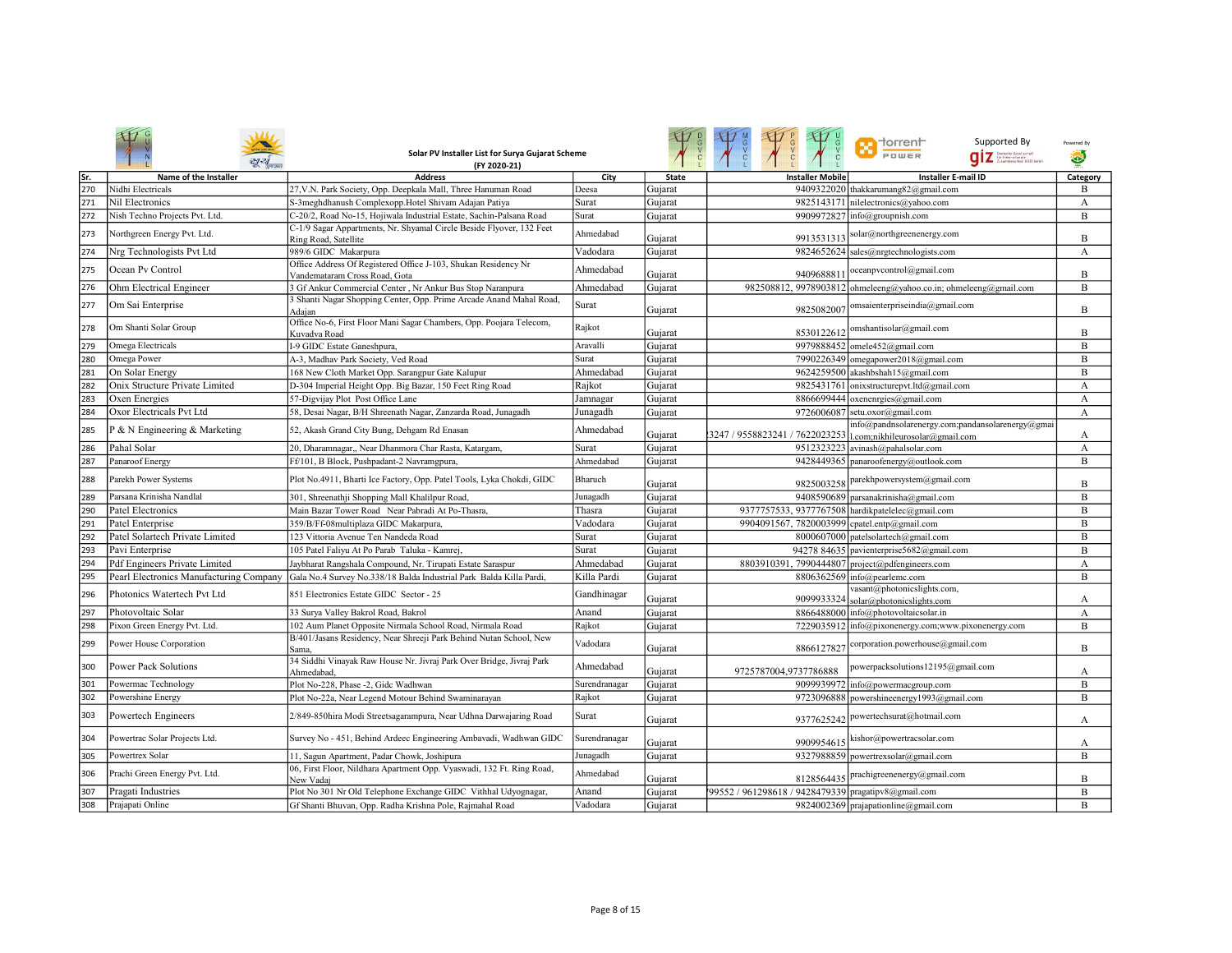|     |                                         | Solar PV Installer List for Surya Gujarat Scheme<br>(FY 2020-21)                                |               |              | A CO                                                | <b>T</b> dorrent<br>Supported By<br>POWER<br>Dzutsche Gesel, sonaft<br>für Internationale<br>Zusammenarbeit (G12) Smbl | Powered By<br>$\bullet$ |
|-----|-----------------------------------------|-------------------------------------------------------------------------------------------------|---------------|--------------|-----------------------------------------------------|------------------------------------------------------------------------------------------------------------------------|-------------------------|
| Sr. | Name of the Installer                   | <b>Address</b>                                                                                  | City          | <b>State</b> | <b>Installer Mobile</b>                             | <b>Installer E-mail ID</b>                                                                                             | Category                |
| 270 | Nidhi Electricals                       | 27, V.N. Park Society, Opp. Deepkala Mall, Three Hanuman Road                                   | Deesa         | Gujarat      |                                                     | 9409322020 thakkarumang82@gmail.com                                                                                    | B                       |
| 271 | Nil Electronics                         | S-3meghdhanush Complexopp.Hotel Shivam Adajan Patiya                                            | Surat         | Gujarat      |                                                     | 9825143171 nilelectronics@vahoo.com                                                                                    | A                       |
| 272 | Nish Techno Projects Pvt. Ltd.          | C-20/2, Road No-15, Hojiwala Industrial Estate, Sachin-Palsana Road                             | Surat         | Gujarat      |                                                     | 9909972827 info@groupnish.com                                                                                          | B                       |
| 273 | Northgreen Energy Pvt. Ltd.             | C-1/9 Sagar Appartments, Nr. Shyamal Circle Beside Flyover, 132 Feet<br>Ring Road, Satellite    | Ahmedabad     | Gujarat      | 9913531313                                          | solar@northgreenenergy.com                                                                                             | B                       |
| 274 | Nrg Technologists Pvt Ltd               | 989/6 GIDC Makarpura                                                                            | Vadodara      | Gujarat      |                                                     | 9824652624 sales@nrgtechnologists.com                                                                                  | А                       |
| 275 | Ocean Pv Control                        | Office Address Of Registered Office J-103, Shukan Residency Nr<br>Vandemataram Cross Road, Gota | Ahmedabad     | Gujarat      | 9409688811                                          | oceanpvcontrol@gmail.com                                                                                               | B                       |
| 276 | Ohm Electrical Engineer                 | 3 Gf Ankur Commercial Center, Nr Ankur Bus Stop Naranpura                                       | Ahmedabad     | Gujarat      |                                                     | 982508812, 9978903812 ohmeleeng@yahoo.co.in; ohmeleeng@gmail.com                                                       | B                       |
| 277 | Om Sai Enterprise                       | 3 Shanti Nagar Shopping Center, Opp. Prime Arcade Anand Mahal Road,<br>Adaian                   | Surat         | Guiarat      | 9825082007                                          | omsaienterpriseindia@gmail.com                                                                                         | B                       |
| 278 | Om Shanti Solar Group                   | Office No-6, First Floor Mani Sagar Chambers, Opp. Poojara Telecom,<br>Kuvadva Road             | Rajkot        | Gujarat      | 8530122612                                          | omshantisolar@gmail.com                                                                                                | B                       |
| 279 | Omega Electricals                       | I-9 GIDC Estate Ganeshpura,                                                                     | Aravalli      | Gujarat      |                                                     | 9979888452 omele452@gmail.com                                                                                          | B                       |
| 280 | Omega Power                             | A-3, Madhav Park Society, Ved Road                                                              | Surat         | Gujarat      |                                                     | 7990226349 omegapower2018@gmail.com                                                                                    | B                       |
| 281 | On Solar Energy                         | 168 New Cloth Market Opp. Sarangpur Gate Kalupur                                                | Ahmedabad     | Gujarat      |                                                     | 9624259500 akashbshah15@gmail.com                                                                                      | B                       |
| 282 | Onix Structure Private Limited          | D-304 Imperial Height Opp. Big Bazar, 150 Feet Ring Road                                        | Rajkot        | Gujarat      | 9825431761                                          | onixstructurepvt.ltd@gmail.com                                                                                         | A                       |
| 283 | Oxen Energies                           | 57-Digvijay Plot Post Office Lane                                                               | Jamnagar      | Gujarat      |                                                     | 8866699444 oxenenrgies@gmail.com                                                                                       | $\boldsymbol{A}$        |
| 284 | Oxor Electricals Pvt Ltd                | 58, Desai Nagar, B/H Shreenath Nagar, Zanzarda Road, Junagadh                                   | Junagadh      | Gujarat      | 9726006087                                          | setu.oxor@gmail.com                                                                                                    | A                       |
| 285 | P & N Engineering & Marketing           | 52, Akash Grand City Bung, Dehgam Rd Enasan                                                     | Ahmedabad     | Gujarat      | 3247 / 9558823241 / 7622023253                      | info@pandnsolarenergy.com;pandansolarenergy@gmai<br>l.com;nikhileurosolar@gmail.com                                    | А                       |
| 286 | Pahal Solar                             | 20, Dharamnagar,, Near Dhanmora Char Rasta, Katargam,                                           | Surat         | Gujarat      |                                                     | 9512323223 avinash@pahalsolar.com                                                                                      | A                       |
| 287 | Panaroof Energy                         | Ff/101, B Block, Pushpadant-2 Navramgpura,                                                      | Ahmedabad     | Gujarat      |                                                     | 9428449365 panaroofenergy@outlook.com                                                                                  | B                       |
| 288 | Parekh Power Systems                    | Plot No.4911, Bharti Ice Factory, Opp. Patel Tools, Lyka Chokdi, GIDC                           | Bharuch       | Gujarat      |                                                     | 9825003258   parekhpowersystem@gmail.com                                                                               | B                       |
| 289 | Parsana Krinisha Nandlal                | 301, Shreenathji Shopping Mall Khalilpur Road                                                   | Junagadh      | Gujarat      |                                                     | 9408590689 parsanakrinisha@gmail.com                                                                                   | B                       |
| 290 | Patel Electronics                       | Main Bazar Tower Road Near Pabradi At Po-Thasra,                                                | Thasra        | Gujarat      | 9377757533, 9377767508 hardikpatelelec@gmail.com    |                                                                                                                        | B                       |
| 291 | Patel Enterprise                        | 359/B/Ff-08multiplaza GIDC Makarpura,                                                           | Vadodara      | Gujarat      | 9904091567, 7820003999 cpatel.entp@gmail.com        |                                                                                                                        | B                       |
| 292 | Patel Solartech Private Limited         | 123 Vittoria Avenue Ten Nandeda Road                                                            | Surat         | Gujarat      |                                                     | 8000607000 patelsolartech@gmail.com                                                                                    | B                       |
| 293 | Pavi Enterprise                         | 105 Patel Faliyu At Po Parab Taluka - Kamrej.                                                   | Surat         | Gujarat      | 94278 84635                                         | pavienterprise5682@gmail.com                                                                                           | B                       |
| 294 | <b>Pdf Engineers Private Limited</b>    | Jaybharat Rangshala Compound, Nr. Tirupati Estate Saraspur                                      | Ahmedabad     | Gujarat      | 8803910391, 7990444807                              | project@pdfengineers.com                                                                                               | А                       |
| 295 | Pearl Electronics Manufacturing Company | Gala No.4 Survey No.338/18 Balda Industrial Park Balda Killa Pardi,                             | Killa Pardi   | Gujarat      |                                                     | 8806362569 info@pearlemc.com                                                                                           | B                       |
| 296 | Photonics Watertech Pvt Ltd             | 851 Electronics Estate GIDC Sector - 25                                                         | Gandhinagar   | Gujarat      | 9099933324                                          | vasant@photonicslights.com,<br>solar@photonicslights.com                                                               | А                       |
| 297 | Photovoltaic Solar                      | 33 Surya Valley Bakrol Road, Bakrol                                                             | Anand         | Gujarat      |                                                     | 8866488000 info@photovoltaicsolar.in                                                                                   | A                       |
| 298 | Pixon Green Energy Pvt. Ltd.            | 102 Aum Planet Opposite Nirmala School Road, Nirmala Road                                       | Rajkot        | Gujarat      |                                                     | 7229035912 info@pixonenergy.com;www.pixonenergy.com                                                                    | B                       |
| 299 | Power House Corporation                 | B/401/Jasans Residency, Near Shreeji Park Behind Nutan School, New<br>Sama.                     | Vadodara      | Gujarat      |                                                     | 8866127827 corporation.powerhouse@gmail.com                                                                            | B                       |
| 300 | Power Pack Solutions                    | 34 Siddhi Vinayak Raw House Nr. Jivraj Park Over Bridge, Jivraj Park<br>Ahmedabad               | Ahmedabad     | Gujarat      | 9725787004,9737786888                               | powerpacksolutions12195@gmail.com                                                                                      | А                       |
| 301 | Powermac Technology                     | Plot No-228, Phase -2, Gidc Wadhwan                                                             | Surendranagar | Gujarat      |                                                     | 9099939972 info@powermacgroup.com                                                                                      | B                       |
| 302 | Powershine Energy                       | Plot No-22a, Near Legend Motour Behind Swaminarayan                                             | Rajkot        | Gujarat      |                                                     | 9723096888 powershineenergy1993@gmail.com                                                                              | B                       |
| 303 | Powertech Engineers                     | 2/849-850hira Modi Streetsagarampura, Near Udhna Darwajaring Road                               | Surat         | Gujarat      | 9377625242                                          | powertechsurat@hotmail.com                                                                                             | А                       |
| 304 | Powertrac Solar Projects Ltd.           | Survey No - 451, Behind Ardeec Engineering Ambavadi, Wadhwan GIDC                               | Surendranagar | Gujarat      | 9909954615                                          | kishor@powertracsolar.com                                                                                              | А                       |
| 305 | Powertrex Solar                         | 11, Sagun Apartment, Padar Chowk, Joshipura                                                     | Junagadh      | Gujarat      |                                                     | 9327988859 powertrexsolar@gmail.com                                                                                    | B                       |
| 306 | Prachi Green Energy Pvt. Ltd.           | 06, First Floor, Nildhara Apartment Opp. Vyaswadi, 132 Ft. Ring Road,<br>New Vadaj              | Ahmedabad     | Gujarat      | 8128564435                                          | prachigreenenergy@gmail.com                                                                                            | B                       |
| 307 | Pragati Industries                      | Plot No 301 Nr Old Telephone Exchange GIDC Vithhal Udyognagar,                                  | Anand         | Gujarat      | 99552 / 961298618 / 9428479339 pragatipv8@gmail.com |                                                                                                                        | $\overline{B}$          |
| 308 | Prajapati Online                        | Gf Shanti Bhuvan, Opp. Radha Krishna Pole, Rajmahal Road                                        | Vadodara      | Gujarat      |                                                     | 9824002369 prajapationline@gmail.com                                                                                   | B                       |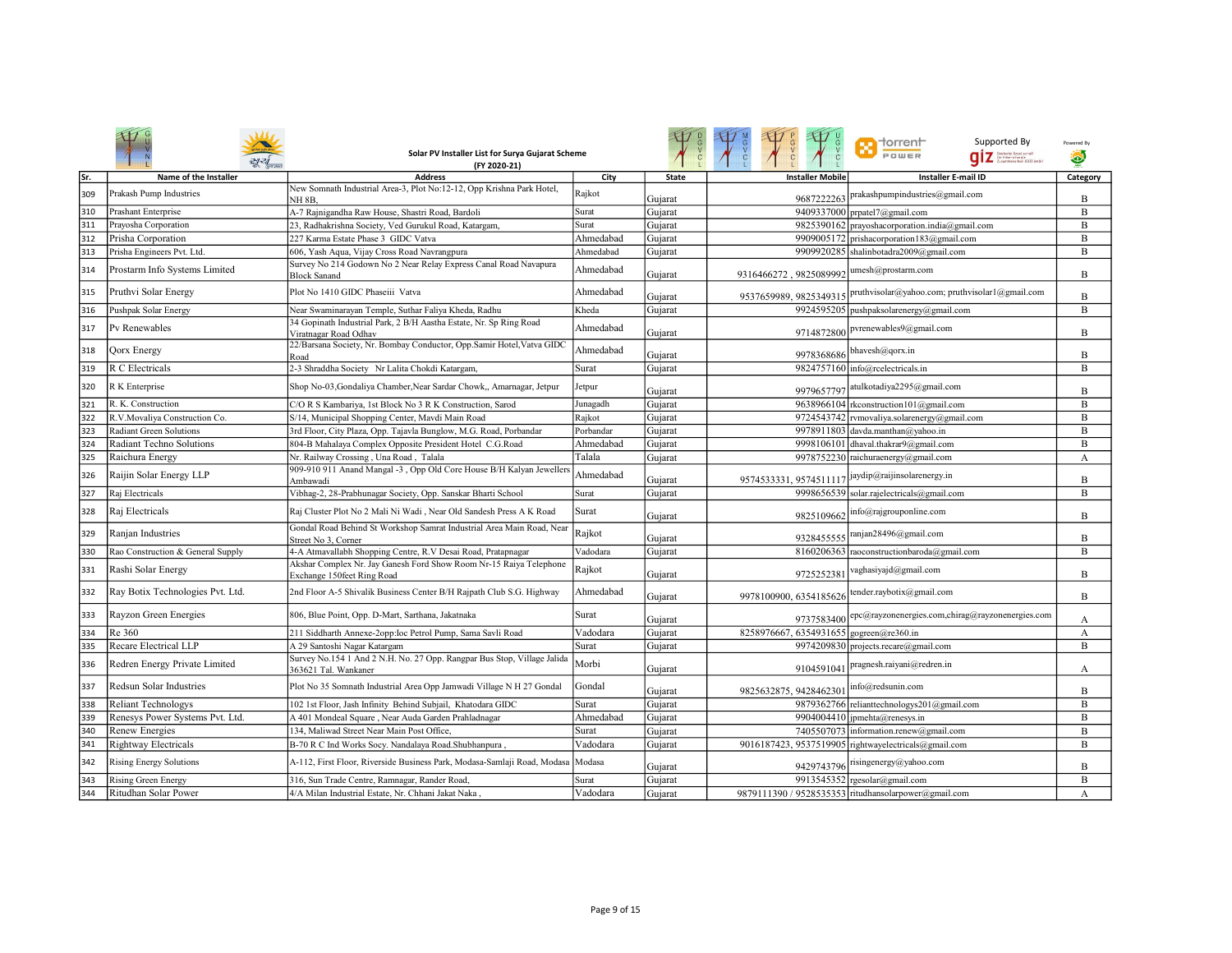|            |                                                               | Solar PV Installer List for Surya Gujarat Scheme<br>(FY 2020-21)                                                                 |                    |                    |                                         | <b>Th</b> dorrent<br>Supported By<br>POWER<br>.<br>Grintschr Gesel.comatt<br>Graummenarbeit (G12) Embl | Powered By<br>۵ |
|------------|---------------------------------------------------------------|----------------------------------------------------------------------------------------------------------------------------------|--------------------|--------------------|-----------------------------------------|--------------------------------------------------------------------------------------------------------|-----------------|
| Sr.        | Name of the Installer                                         | <b>Address</b>                                                                                                                   | City               | <b>State</b>       | <b>Installer Mobile</b>                 | <b>Installer E-mail ID</b>                                                                             | Category        |
| 309        | Prakash Pump Industries                                       | New Somnath Industrial Area-3, Plot No:12-12, Opp Krishna Park Hotel,<br><b>NH 8B.</b>                                           | Rajkot             | Gujarat            | 9687222263                              | prakashpumpindustries@gmail.com                                                                        | B               |
| 310        | Prashant Enterprise                                           | A-7 Rajnigandha Raw House, Shastri Road, Bardoli                                                                                 | Surat              | Gujarat            |                                         | 9409337000 prpatel7@gmail.com                                                                          | B               |
| 311        | Prayosha Corporation                                          | 23, Radhakrishna Society, Ved Gurukul Road, Katargam,                                                                            | Surat              | Gujarat            |                                         | 9825390162 prayoshacorporation.india@gmail.com                                                         | $\, {\bf B}$    |
| 312        | Prisha Corporation                                            | 227 Karma Estate Phase 3 GIDC Vatva                                                                                              | Ahmedabad          | Gujarat            |                                         | 9909005172 prishacorporation183@gmail.com                                                              | B               |
| 313        | Prisha Engineers Pvt. Ltd.                                    | 606, Yash Aqua, Vijay Cross Road Navrangpura                                                                                     | Ahmedabad          | Gujarat            |                                         | 9909920285 shalinbotadra2009@gmail.com                                                                 | B               |
| 314        | Prostarm Info Systems Limited                                 | Survey No 214 Godown No 2 Near Relay Express Canal Road Navapura<br><b>Block Sanand</b>                                          | Ahmedabad          | Gujarat            | 9316466272, 9825089992                  | umesh@prostarm.com                                                                                     | B               |
| 315        | Pruthvi Solar Energy                                          | Plot No 1410 GIDC Phaseiii Vatva                                                                                                 | Ahmedabad          | Gujarat            | 9537659989, 9825349315                  | pruthvisolar@yahoo.com; pruthvisolar1@gmail.com                                                        | B               |
| 316        | Pushpak Solar Energy                                          | Near Swaminarayan Temple, Suthar Faliya Kheda, Radhu                                                                             | Kheda              | Gujarat            |                                         | 9924595205 pushpaksolarenergy@gmail.com                                                                | B               |
| 317        | Pv Renewables                                                 | 34 Gopinath Industrial Park, 2 B/H Aastha Estate, Nr. Sp Ring Road<br>Viratnagar Road Odhav                                      | Ahmedabad          | Gujarat            |                                         | 9714872800 pvrenewables9@gmail.com                                                                     | B               |
| 318        | <b>Qorx Energy</b>                                            | 22/Barsana Society, Nr. Bombay Conductor, Opp.Samir Hotel, Vatva GIDC<br>Road                                                    | Ahmedabad          | Gujarat            | 9978368686                              | bhavesh@qorx.in                                                                                        | B               |
| 319        | R C Electricals                                               | 2-3 Shraddha Society Nr Lalita Chokdi Katargam,                                                                                  | Surat              | Gujarat            |                                         | 9824757160 info@rcelectricals.in                                                                       | B               |
| 320        | R K Enterprise                                                | Shop No-03, Gondaliya Chamber, Near Sardar Chowk,, Amarnagar, Jetpur                                                             | Jetpur             | Gujarat            | 9979657797                              | atulkotadiya2295@gmail.com                                                                             | B               |
| 321        | R. K. Construction                                            | C/O R S Kambariya, 1st Block No 3 R K Construction, Sarod                                                                        | Junagadh           | Gujarat            |                                         | 9638966104 rkconstruction101@gmail.com                                                                 | B               |
| 322        | R.V.Movaliya Construction Co.                                 | S/14, Municipal Shopping Center, Mavdi Main Road                                                                                 | Rajkot             | Gujarat            |                                         | 9724543742 rvmovaliya.solarenergy@gmail.com                                                            | B               |
| 323        | Radiant Green Solutions                                       | 3rd Floor, City Plaza, Opp. Tajavla Bunglow, M.G. Road, Porbandar                                                                | Porbandar          | Gujarat            |                                         | 9978911803 davda.manthan@yahoo.in                                                                      | B               |
| 324        | Radiant Techno Solutions                                      | 804-B Mahalaya Complex Opposite President Hotel C.G.Road                                                                         | Ahmedabad          | Gujarat            |                                         | 9998106101 dhaval.thakrar9@gmail.com                                                                   | B               |
| 325        | Raichura Energy                                               | Nr. Railway Crossing, Una Road, Talala                                                                                           | Talala             | Gujarat            |                                         | 9978752230 raichuraenergy@gmail.com                                                                    | А               |
| 326        | Raijin Solar Energy LLP                                       | 909-910 911 Anand Mangal -3, Opp Old Core House B/H Kalyan Jewellers<br>Ambawadi                                                 | Ahmedabad          | Gujarat            | 9574533331, 9574511117                  | jaydip@raijinsolarenergy.in                                                                            | B               |
| 327        | Raj Electricals                                               | Vibhag-2, 28-Prabhunagar Society, Opp. Sanskar Bharti School                                                                     | Surat              | Gujarat            |                                         | 9998656539 solar.rajelectricals@gmail.com                                                              | B               |
| 328        | Raj Electricals                                               | Raj Cluster Plot No 2 Mali Ni Wadi, Near Old Sandesh Press A K Road                                                              | Surat              | Gujarat            | 9825109662                              | info@rajgrouponline.com                                                                                | B               |
| 329        | Ranjan Industries                                             | Gondal Road Behind St Workshop Samrat Industrial Area Main Road, Near<br>Street No 3, Corner                                     | Rajkot             | Gujarat            | 9328455555                              | ranjan28496@gmail.com                                                                                  | B               |
| 330        | Rao Construction & General Supply                             | 4-A Atmavallabh Shopping Centre, R.V Desai Road, Pratapnagar                                                                     | Vadodara           | Gujarat            |                                         | 8160206363 raoconstructionbaroda@gmail.com                                                             | B               |
| 331        | Rashi Solar Energy                                            | Akshar Complex Nr. Jay Ganesh Ford Show Room Nr-15 Raiya Telephone<br>Exchange 150feet Ring Road                                 | Rajkot             | Gujarat            | 9725252381                              | vaghasiyajd@gmail.com                                                                                  | B               |
| 332        | Ray Botix Technologies Pvt. Ltd.                              | 2nd Floor A-5 Shivalik Business Center B/H Rajpath Club S.G. Highway                                                             | Ahmedabad          | Gujarat            | 9978100900, 6354185626                  | tender.raybotix@gmail.com                                                                              | B               |
| 333        | Rayzon Green Energies                                         | 806, Blue Point, Opp. D-Mart, Sarthana, Jakatnaka                                                                                | Surat              | Gujarat            | 9737583400                              | epc@rayzonenergies.com,chirag@rayzonenergies.com                                                       | А               |
| 334        | Re 360                                                        | 211 Siddharth Annexe-2opp: Ioc Petrol Pump, Sama Savli Road                                                                      | Vadodara           | Gujarat            | 8258976667, 6354931655 gogreen@re360.in |                                                                                                        | A               |
| 335        | Recare Electrical LLP                                         | A 29 Santoshi Nagar Katargam                                                                                                     | Surat              | Gujarat            |                                         | 9974209830 projects.recare@gmail.com                                                                   | B               |
| 336        | Redren Energy Private Limited                                 | Survey No.154 1 And 2 N.H. No. 27 Opp. Rangpar Bus Stop, Village Jalida<br>363621 Tal. Wankaner                                  | Morbi              | Gujarat            | 910459104                               | pragnesh.raiyani@redren.in                                                                             | А               |
| 337        | Redsun Solar Industries                                       | Plot No 35 Somnath Industrial Area Opp Jamwadi Village N H 27 Gondal                                                             | Gondal             | Gujarat            | 9825632875, 9428462301                  | info@redsunin.com                                                                                      | B               |
| 338        | <b>Reliant Technologys</b>                                    | 102 1st Floor, Jash Infinity Behind Subjail, Khatodara GIDC                                                                      | Surat              | Gujarat            |                                         | 9879362766 relianttechnologys201@gmail.com                                                             | B               |
| 339        | Renesys Power Systems Pvt. Ltd.                               | A 401 Mondeal Square, Near Auda Garden Prahladnagar                                                                              | Ahmedabad          | Gujarat            |                                         | 9904004410 ipmehta@renesys.in                                                                          | $\bf{B}$        |
| 340        | <b>Renew Energies</b>                                         | 134, Maliwad Street Near Main Post Office,                                                                                       | Surat              | Gujarat            |                                         | 7405507073 information.renew@gmail.com                                                                 | B               |
| 341<br>342 | <b>Rightway Electricals</b><br><b>Rising Energy Solutions</b> | B-70 R C Ind Works Socy. Nandalaya Road.Shubhanpura,<br>A-112, First Floor, Riverside Business Park, Modasa-Samlaji Road, Modasa | Vadodara<br>Modasa | Gujarat            |                                         | 9016187423, 9537519905 rightwayelectricals@gmail.com<br>9429743796 risingenergy@yahoo.com              | $\bf{B}$<br>B   |
| 343        | <b>Rising Green Energy</b>                                    |                                                                                                                                  | Surat              | Gujarat<br>Gujarat |                                         | 9913545352 rgesolar@gmail.com                                                                          | B               |
| 344        | Ritudhan Solar Power                                          | 316, Sun Trade Centre, Ramnagar, Rander Road,<br>4/A Milan Industrial Estate, Nr. Chhani Jakat Naka                              | Vadodara           |                    |                                         | 9879111390 / 9528535353 ritudhansolarpower@gmail.com                                                   |                 |
|            |                                                               |                                                                                                                                  |                    | Gujarat            |                                         |                                                                                                        | A               |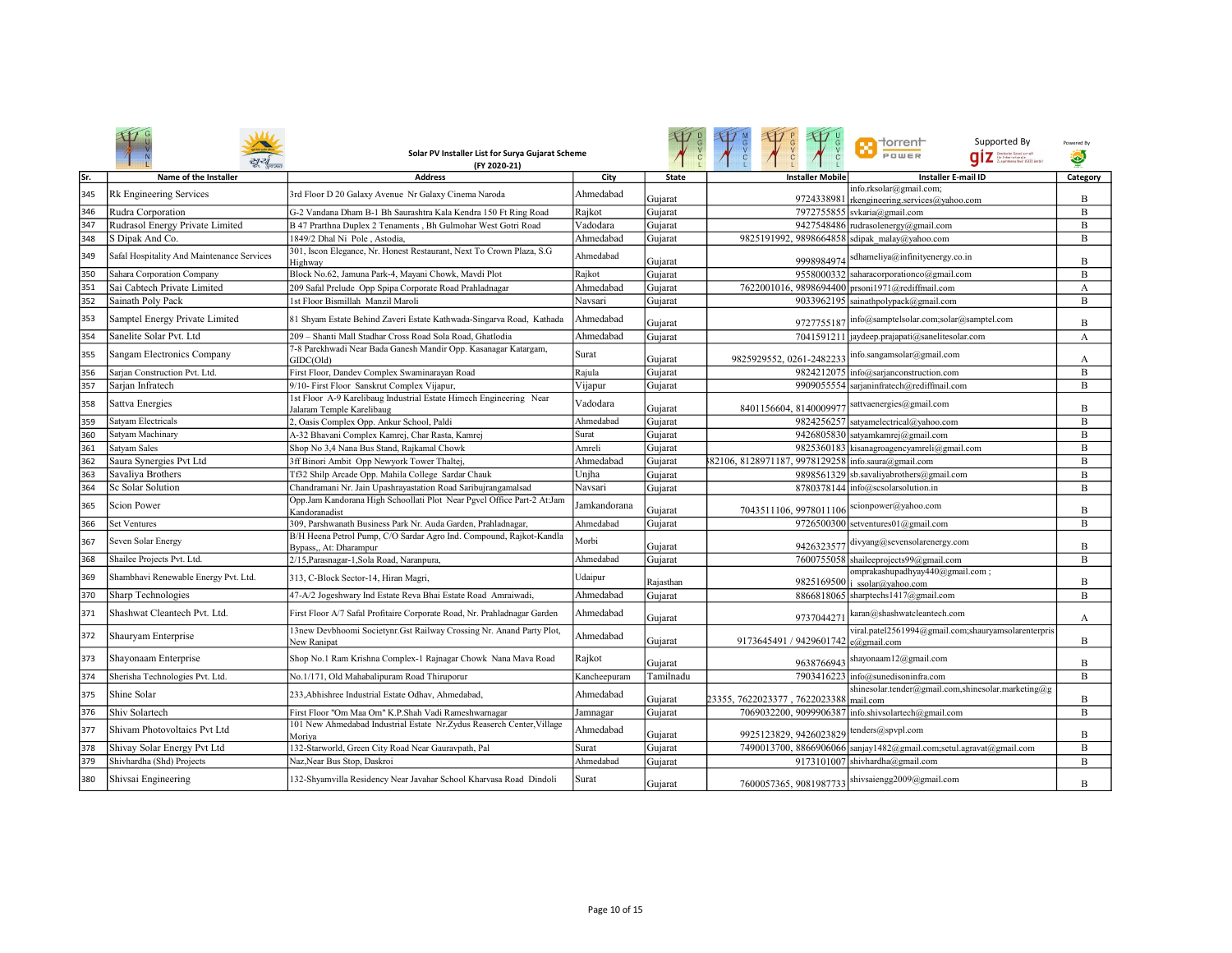|      |                                            | Solar PV Installer List for Surya Gujarat Scheme<br>(FY 2020-21)                                |              |              |                                                    | <b>n</b> torrent<br>Supported By<br>POWER<br><b>QİZ</b> States Sections | Powered By     |
|------|--------------------------------------------|-------------------------------------------------------------------------------------------------|--------------|--------------|----------------------------------------------------|-------------------------------------------------------------------------|----------------|
| lSr. | Name of the Installer                      | <b>Address</b>                                                                                  | City         | <b>State</b> | <b>Installer Mobile</b>                            | <b>Installer E-mail ID</b>                                              | Category       |
| 345  | <b>Rk Engineering Services</b>             | 3rd Floor D 20 Galaxy Avenue Nr Galaxy Cinema Naroda                                            | Ahmedabad    | Gujarat      | 9724338981                                         | info.rksolar@gmail.com;<br>rkengineering.services@yahoo.com             | B              |
| 346  | Rudra Corporation                          | G-2 Vandana Dham B-1 Bh Saurashtra Kala Kendra 150 Ft Ring Road                                 | Rajkot       | Gujarat      |                                                    | 7972755855 svkaria@gmail.com                                            | B              |
| 347  | Rudrasol Energy Private Limited            | B 47 Prarthna Duplex 2 Tenaments, Bh Gulmohar West Gotri Road                                   | Vadodara     | Gujarat      |                                                    | 9427548486 rudrasolenergy@gmail.com                                     | B              |
| 348  | S Dipak And Co.                            | 1849/2 Dhal Ni Pole, Astodia.                                                                   | Ahmedabad    | Gujarat      | 9825191992, 9898664858 sdipak malay@yahoo.com      |                                                                         | B              |
| 349  | Safal Hospitality And Maintenance Services | 301, Iscon Elegance, Nr. Honest Restaurant, Next To Crown Plaza, S.G<br>Highway                 | Ahmedabad    | Gujarat      | 9998984974                                         | sdhameliya@infinityenergy.co.in                                         | B              |
| 350  | Sahara Corporation Company                 | Block No.62, Jamuna Park-4, Mayani Chowk, Mavdi Plot                                            | Rajkot       | Gujarat      | 9558000332                                         | saharacorporationco@gmail.com                                           | B              |
| 351  | Sai Cabtech Private Limited                | 209 Safal Prelude Opp Spipa Corporate Road Prahladnagar                                         | Ahmedabad    | Gujarat      |                                                    | 7622001016, 9898694400 prsoni1971@rediffmail.com                        | А              |
| 352  | Sainath Poly Pack                          | 1st Floor Bismillah Manzil Maroli                                                               | Navsari      | Gujarat      |                                                    | 9033962195 sainathpolypack@gmail.com                                    | B              |
| 353  | Samptel Energy Private Limited             | 81 Shyam Estate Behind Zaveri Estate Kathwada-Singarva Road, Kathada                            | Ahmedabad    | Gujarat      | 9727755187                                         | info@samptelsolar.com;solar@samptel.com                                 | B              |
| 354  | Sanelite Solar Pvt. Ltd                    | 209 - Shanti Mall Stadhar Cross Road Sola Road, Ghatlodia                                       | Ahmedabad    | Gujarat      |                                                    | 7041591211 jaydeep.prajapati@sanelitesolar.com                          | A              |
| 355  | Sangam Electronics Company                 | 7-8 Parekhwadi Near Bada Ganesh Mandir Opp. Kasanagar Katargam,<br>GIDC(Old)                    | Surat        | Gujarat      | 9825929552, 0261-2482233                           | info.sangamsolar@gmail.com                                              | А              |
| 356  | Sarjan Construction Pvt. Ltd.              | First Floor, Dandev Complex Swaminarayan Road                                                   | Rajula       | Gujarat      |                                                    | 9824212075 info@sarjanconstruction.com                                  | B              |
| 357  | Sarjan Infratech                           | 9/10- First Floor Sanskrut Complex Vijapur,                                                     | Vijapur      | Gujarat      | 9909055554                                         | sarjaninfratech@rediffmail.com                                          | B              |
| 358  | Sattva Energies                            | 1st Floor A-9 Karelibaug Industrial Estate Himech Engineering Near<br>Jalaram Temple Karelibaug | Vadodara     | Gujarat      | 8401156604, 8140009977                             | sattvaenergies@gmail.com                                                | $\overline{B}$ |
| 359  | Satyam Electricals                         | 2, Oasis Complex Opp. Ankur School, Paldi                                                       | Ahmedabad    | Gujarat      |                                                    | 9824256257 satyamelectrical@yahoo.com                                   | B              |
| 360  | Satvam Machinary                           | A-32 Bhavani Complex Kamrej, Char Rasta, Kamrej                                                 | Surat        | Gujarat      |                                                    | 9426805830 satyamkamrej@gmail.com                                       | $\overline{B}$ |
| 361  | Satvam Sales                               | Shop No 3,4 Nana Bus Stand, Rajkamal Chowk                                                      | Amreli       | Gujarat      |                                                    | 9825360183 kisanagroagencyamreli@gmail.com                              | $\overline{B}$ |
| 362  | Saura Synergies Pvt Ltd                    | 3ff Binori Ambit Opp Newyork Tower Thaltej,                                                     | Ahmedabad    | Gujarat      | 82106, 8128971187, 9978129258 info.saura@gmail.com |                                                                         | $\overline{B}$ |
| 363  | Savaliya Brothers                          | Tf32 Shilp Arcade Opp. Mahila College Sardar Chauk                                              | Unjha        | Gujarat      |                                                    | 9898561329 sb.savaliyabrothers@gmail.com                                | B              |
| 364  | Sc Solar Solution                          | Chandramani Nr. Jain Upashrayastation Road Saribujrangamalsad                                   | Navsari      | Gujarat      |                                                    | 8780378144 info@scsolarsolution.in                                      | B              |
| 365  | Scion Power                                | Opp.Jam Kandorana High Schoollati Plot Near Pgvcl Office Part-2 At:Jam<br>Kandoranadist         | Jamkandorana | Gujarat      | 7043511106, 9978011106                             | scionpower@yahoo.com                                                    | B              |
| 366  | <b>Set Ventures</b>                        | 309, Parshwanath Business Park Nr. Auda Garden, Prahladnagar,                                   | Ahmedabad    | Gujarat      |                                                    | 9726500300 setventures01@gmail.com                                      | B              |
| 367  | Seven Solar Energy                         | B/H Heena Petrol Pump, C/O Sardar Agro Ind. Compound, Rajkot-Kandla<br>Bypass,, At: Dharampur   | Morbi        | Gujarat      | 9426323577                                         | divyang@sevensolarenergy.com                                            | B              |
| 368  | Shailee Projects Pvt. Ltd.                 | 2/15, Parasnagar-1, Sola Road, Naranpura,                                                       | Ahmedabad    | Gujarat      |                                                    | 7600755058 shaileeprojects99@gmail.com                                  | $\overline{B}$ |
| 369  | Shambhavi Renewable Energy Pvt. Ltd.       | 313, C-Block Sector-14, Hiran Magri,                                                            | Udaipur      | Rajasthan    | 9825169500                                         | omprakashupadhyay440@gmail.com;<br>ssolar@yahoo.com                     | B              |
| 370  | <b>Sharp Technologies</b>                  | 47-A/2 Jogeshwary Ind Estate Reva Bhai Estate Road Amraiwadi,                                   | Ahmedabad    | Gujarat      |                                                    | 8866818065 sharptechs1417@gmail.com                                     | B              |
| 371  | Shashwat Cleantech Pvt. Ltd.               | First Floor A/7 Safal Profitaire Corporate Road, Nr. Prahladnagar Garden                        | Ahmedabad    | Gujarat      | 9737044271                                         | karan@shashwatcleantech.com                                             | А              |
| 372  | Shauryam Enterprise                        | 13new Devbhoomi Societynr.Gst Railway Crossing Nr. Anand Party Plot,<br>New Ranipat             | Ahmedabad    | Gujarat      | 9173645491 / 9429601742 e@gmail.com                | viral.patel2561994@gmail.com;shauryamsolarenterpris                     | B              |
| 373  | Shayonaam Enterprise                       | Shop No.1 Ram Krishna Complex-1 Rajnagar Chowk Nana Mava Road                                   | Rajkot       | Gujarat      | 9638766943                                         | shayonaam12@gmail.com                                                   | B              |
| 374  | Sherisha Technologies Pvt. Ltd.            | No.1/171, Old Mahabalipuram Road Thiruporur                                                     | Kancheepuram | Tamilnadu    |                                                    | 7903416223 info@sunedisoninfra.com                                      | B              |
| 375  | Shine Solar                                | 233. Abhishree Industrial Estate Odhay, Ahmedabad,                                              | Ahmedabad    | Gujarat      | 23355, 7622023377, 7622023388                      | shinesolar.tender@gmail.com,shinesolar.marketing@g<br>mail.com          | B              |
| 376  | Shiv Solartech                             | First Floor "Om Maa Om" K.P.Shah Vadi Rameshwarnagar                                            | Jamnagar     | Gujarat      |                                                    | 7069032200, 9099906387 info.shivsolartech@gmail.com                     | B              |
| 377  | Shivam Photovoltaics Pyt Ltd               | 101 New Ahmedabad Industrial Estate Nr.Zydus Reaserch Center, Village<br>Moriva                 | Ahmedabad    | Gujarat      | 9925123829.9426023829                              | tenders@spvpl.com                                                       | B              |
| 378  | Shivay Solar Energy Pvt Ltd                | 132-Starworld, Green City Road Near Gauravpath, Pal                                             | Surat        | Gujarat      |                                                    | 7490013700, 8866906066 sanjay1482@gmail.com;setul.agravat@gmail.com     | B              |
| 379  | Shivhardha (Shd) Projects                  | Naz, Near Bus Stop, Daskroi                                                                     | Ahmedabad    | Gujarat      |                                                    | 9173101007 shivhardha@gmail.com                                         | B              |
| 380  | Shivsai Engineering                        | 132-Shyamvilla Residency Near Javahar School Kharvasa Road Dindoli                              | Surat        | Gujarat      |                                                    | 7600057365, 9081987733 shivsaiengg2009@gmail.com                        | B              |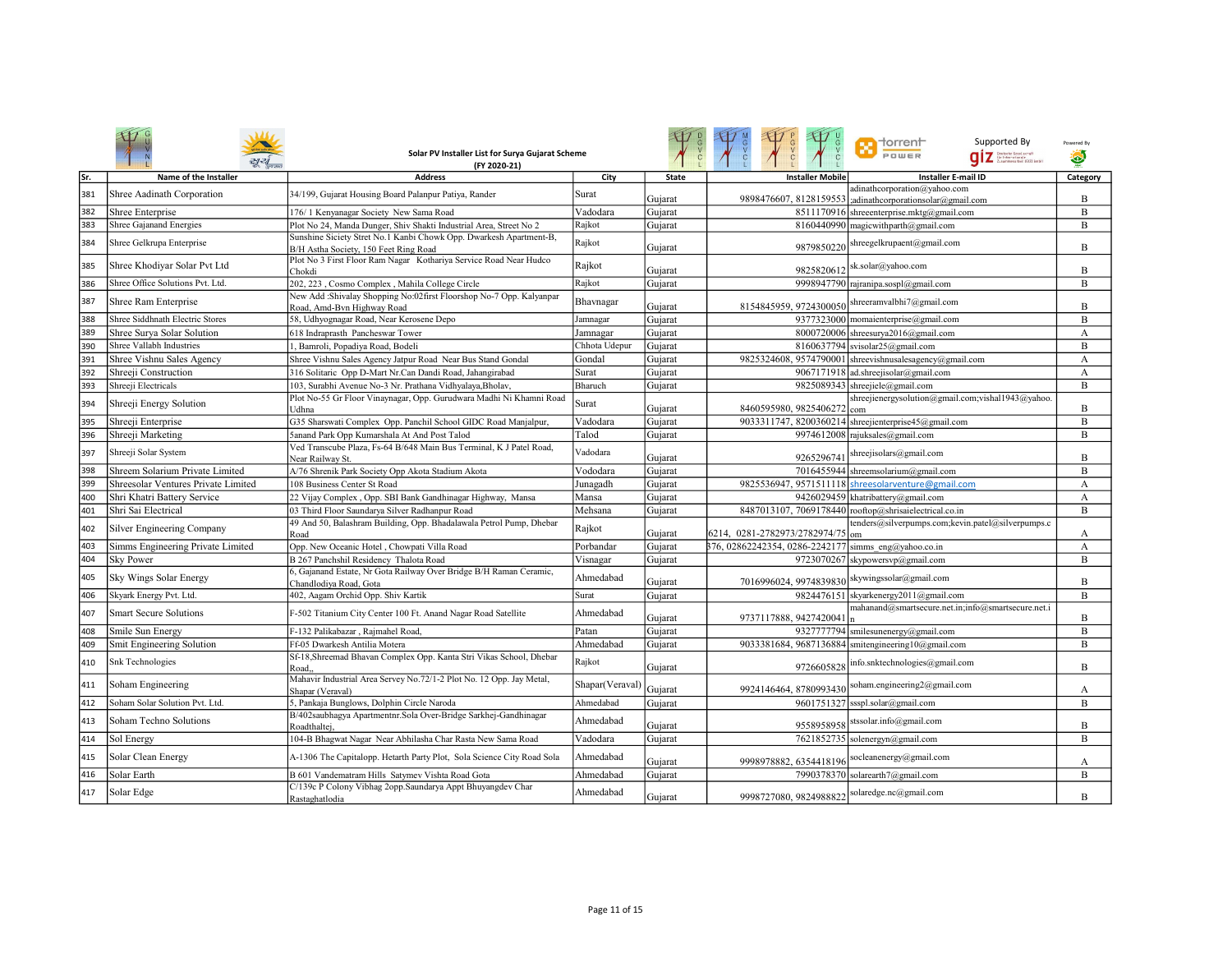|     |                                     | Solar PV Installer List for Surya Gujarat Scheme<br>(FY 2020-21)                                            |                 |              |                                                      | $\Box$ dorrent<br>Supported By<br>POWER                                                   | Powered By<br>۵  |
|-----|-------------------------------------|-------------------------------------------------------------------------------------------------------------|-----------------|--------------|------------------------------------------------------|-------------------------------------------------------------------------------------------|------------------|
| Sr. | Name of the Installer               | <b>Address</b>                                                                                              | City            | <b>State</b> | <b>Installer Mobile</b>                              | <b>Installer E-mail ID</b>                                                                | Category         |
| 381 | Shree Aadinath Corporation          | 34/199, Gujarat Housing Board Palanpur Patiya, Rander                                                       | Surat           | Guiarat      |                                                      | adinathcorporation@yahoo.com<br>9898476607, 8128159553 ;adinathcorporationsolar@gmail.com | $\overline{B}$   |
| 382 | Shree Enterprise                    | 176/1 Kenyanagar Society New Sama Road                                                                      | Vadodara        | Gujarat      |                                                      | 8511170916 shreeenterprise.mktg@gmail.com                                                 | B                |
| 383 | Shree Gajanand Energies             | Plot No 24, Manda Dunger, Shiv Shakti Industrial Area, Street No 2                                          | Rajkot          | Gujarat      |                                                      | 8160440990 magicwithparth@gmail.com                                                       | B                |
| 384 | Shree Gelkrupa Enterprise           | Sunshine Siciety Stret No.1 Kanbi Chowk Opp. Dwarkesh Apartment-B,<br>B/H Astha Society, 150 Feet Ring Road | Rajkot          | Gujarat      | 9879850220                                           | shreegelkrupaent@gmail.com                                                                | B                |
| 385 | Shree Khodiyar Solar Pvt Ltd        | Plot No 3 First Floor Ram Nagar Kothariya Service Road Near Hudco<br>Chokdi                                 | Rajkot          | Gujarat      | 9825820612                                           | sk.solar@yahoo.com                                                                        | B                |
| 386 | Shree Office Solutions Pvt. Ltd.    | 202, 223, Cosmo Complex, Mahila College Circle                                                              | Rajkot          | Gujarat      |                                                      | 9998947790 rajranipa.sospl@gmail.com                                                      | B                |
| 387 | Shree Ram Enterprise                | New Add :Shivalay Shopping No:02first Floorshop No-7 Opp. Kalyanpar<br>Road, Amd-Bvn Highway Road           | Bhavnagar       | Gujarat      |                                                      | $8154845959, 9724300050$ Shreeramvalbhi $7$ @gmail.com                                    | B                |
| 388 | Shree Siddhnath Electric Stores     | 58, Udhyognagar Road, Near Kerosene Depo                                                                    | Jamnagar        | Gujarat      |                                                      | 9377323000 momaienterprise@gmail.com                                                      | B                |
| 389 | Shree Surva Solar Solution          | 618 Indraprasth Pancheswar Tower                                                                            | Jamnagar        | Gujarat      |                                                      | 8000720006 shreesurya2016@gmail.com                                                       | A                |
| 390 | Shree Vallabh Industries            | , Bamroli, Popadiya Road, Bodeli                                                                            | Chhota Udepur   | Gujarat      |                                                      | $8160637794$ svisolar25@gmail.com                                                         | B                |
| 391 | Shree Vishnu Sales Agency           | Shree Vishnu Sales Agency Jatpur Road Near Bus Stand Gondal                                                 | Gondal          | Gujarat      | 9825324608, 9574790001                               | shreevishnusalesagency@gmail.com                                                          | $\boldsymbol{A}$ |
| 392 | Shreeji Construction                | 316 Solitaric Opp D-Mart Nr.Can Dandi Road, Jahangirabad                                                    | Surat           | Gujarat      |                                                      | 9067171918 ad.shreejisolar@gmail.com                                                      | A                |
| 393 | Shreeji Electricals                 | 103, Surabhi Avenue No-3 Nr. Prathana Vidhyalaya, Bholav,                                                   | Bharuch         | Guiarat      |                                                      | 9825089343 shreejiele@gmail.com                                                           | B                |
| 394 | Shreeji Energy Solution             | Plot No-55 Gr Floor Vinaynagar, Opp. Gurudwara Madhi Ni Khamni Road<br>Udhna                                | Surat           | Gujarat      | 8460595980, 9825406272                               | shreejienergysolution@gmail.com;vishal1943@yahoo.<br>com                                  | B                |
| 395 | Shreeji Enterprise                  | G35 Sharswati Complex Opp. Panchil School GIDC Road Manjalpur,                                              | Vadodara        | Gujarat      |                                                      | 9033311747, 8200360214 shreejienterprise45@gmail.com                                      | B                |
| 396 | Shreeji Marketing                   | Sanand Park Opp Kumarshala At And Post Talod                                                                | Talod           | Gujarat      |                                                      | 9974612008 rajuksales@gmail.com                                                           | B                |
| 397 | Shreeji Solar System                | Ved Transcube Plaza, Fs-64 B/648 Main Bus Terminal, K J Patel Road,<br>Near Railway St.                     | Vadodara        | Gujarat      | 926529674                                            | shreejisolars@gmail.com                                                                   | B                |
| 398 | Shreem Solarium Private Limited     | A/76 Shrenik Park Society Opp Akota Stadium Akota                                                           | Vododara        | Gujarat      |                                                      | 7016455944 shreemsolarium@gmail.com                                                       | B                |
| 399 | Shreesolar Ventures Private Limited | 108 Business Center St Road                                                                                 | Junagadh        | Gujarat      |                                                      | 9825536947, 9571511118 shreesolarventure@gmail.com                                        | А                |
| 400 | Shri Khatri Battery Service         | 22 Vijay Complex, Opp. SBI Bank Gandhinagar Highway, Mansa                                                  | Mansa           | Gujarat      |                                                      | 9426029459 khatribattery@gmail.com                                                        | А                |
| 401 | Shri Sai Electrical                 | 03 Third Floor Saundarya Silver Radhanpur Road                                                              | Mehsana         | Gujarat      |                                                      | 8487013107, 7069178440 rooftop@shrisaielectrical.co.in                                    | B                |
| 402 | Silver Engineering Company          | 49 And 50, Balashram Building, Opp. Bhadalawala Petrol Pump, Dhebar<br>Road                                 | Rajkot          | Gujarat      | 6214, 0281-2782973/2782974/75 om                     | tenders@silverpumps.com;kevin.patel@silverpumps.c                                         | А                |
| 403 | Simms Engineering Private Limited   | Opp. New Oceanic Hotel, Chowpati Villa Road                                                                 | Porbandar       | Gujarat      | 376, 02862242354, 0286-2242177 simms_eng@yahoo.co.in |                                                                                           | A                |
| 404 | <b>Sky Power</b>                    | B 267 Panchshil Residency Thalota Road                                                                      | Visnagar        | Gujarat      |                                                      | 9723070267 skypowersvp@gmail.com                                                          | B                |
| 405 | Sky Wings Solar Energy              | 6, Gajanand Estate, Nr Gota Railway Over Bridge B/H Raman Ceramic,<br>Chandlodiya Road, Gota                | Ahmedabad       | Gujarat      | 7016996024, 9974839830                               | skywingssolar@gmail.com                                                                   | B                |
| 406 | Skyark Energy Pvt. Ltd.             | 402, Aagam Orchid Opp. Shiv Kartik                                                                          | Surat           | Gujarat      |                                                      | 9824476151 skyarkenergy2011@gmail.com                                                     | B                |
| 407 | <b>Smart Secure Solutions</b>       | F-502 Titanium City Center 100 Ft. Anand Nagar Road Satellite                                               | Ahmedabad       | Gujarat      | 9737117888, 9427420041                               | mahanand@smartsecure.net.in;info@smartsecure.net.i                                        | R                |
| 408 | Smile Sun Energy                    | F-132 Palikabazar, Raimahel Road,                                                                           | Patan           | Guiarat      |                                                      | 9327777794 smilesunenergy@gmail.com                                                       | $\overline{B}$   |
| 409 | Smit Engineering Solution           | Ff-05 Dwarkesh Antilia Motera                                                                               | Ahmedabad       | Gujarat      |                                                      | 9033381684, 9687136884 smitengineering10@gmail.com                                        | B                |
| 410 | <b>Snk Technologies</b>             | Sf-18, Shreemad Bhavan Complex Opp. Kanta Stri Vikas School, Dhebar<br>Road.                                | Rajkot          | Gujarat      | 9726605828                                           | info.snktechnologies@gmail.com                                                            | B                |
| 411 | Soham Engineering                   | Mahavir Industrial Area Servey No.72/1-2 Plot No. 12 Opp. Jay Metal,<br>Shapar (Veraval)                    | Shapar(Veraval) | Gujarat      | 9924146464, 8780993430                               | soham.engineering2@gmail.com                                                              | A                |
| 412 | Soham Solar Solution Pvt. Ltd.      | 5, Pankaja Bunglows, Dolphin Circle Naroda                                                                  | Ahmedabad       | Gujarat      |                                                      | 9601751327 ssspl.solar@gmail.com                                                          | B                |
| 413 | Soham Techno Solutions              | B/402saubhagya Apartmentnr.Sola Over-Bridge Sarkhej-Gandhinagar<br>Roadthaltej.                             | Ahmedabad       | Gujarat      | 9558958958                                           | stssolar.info@gmail.com                                                                   | B                |
| 414 | Sol Energy                          | 104-B Bhagwat Nagar Near Abhilasha Char Rasta New Sama Road                                                 | Vadodara        | Gujarat      |                                                      | 7621852735 solenergyn@gmail.com                                                           | B                |
| 415 | Solar Clean Energy                  | A-1306 The Capitalopp. Hetarth Party Plot, Sola Science City Road Sola                                      | Ahmedabad       | Gujarat      | 9998978882, 6354418196 socleanenergy@gmail.com       |                                                                                           | A                |
| 416 | Solar Earth                         | B 601 Vandematram Hills Satymev Vishta Road Gota                                                            | Ahmedabad       | Gujarat      |                                                      | 7990378370 solarearth7@gmail.com                                                          | B                |
| 417 | Solar Edge                          | C/139c P Colony Vibhag 2opp.Saundarya Appt Bhuyangdev Char<br>Rastaghatlodia                                | Ahmedabad       | Gujarat      | 9998727080, 9824988822 solaredge.nc@gmail.com        |                                                                                           | B                |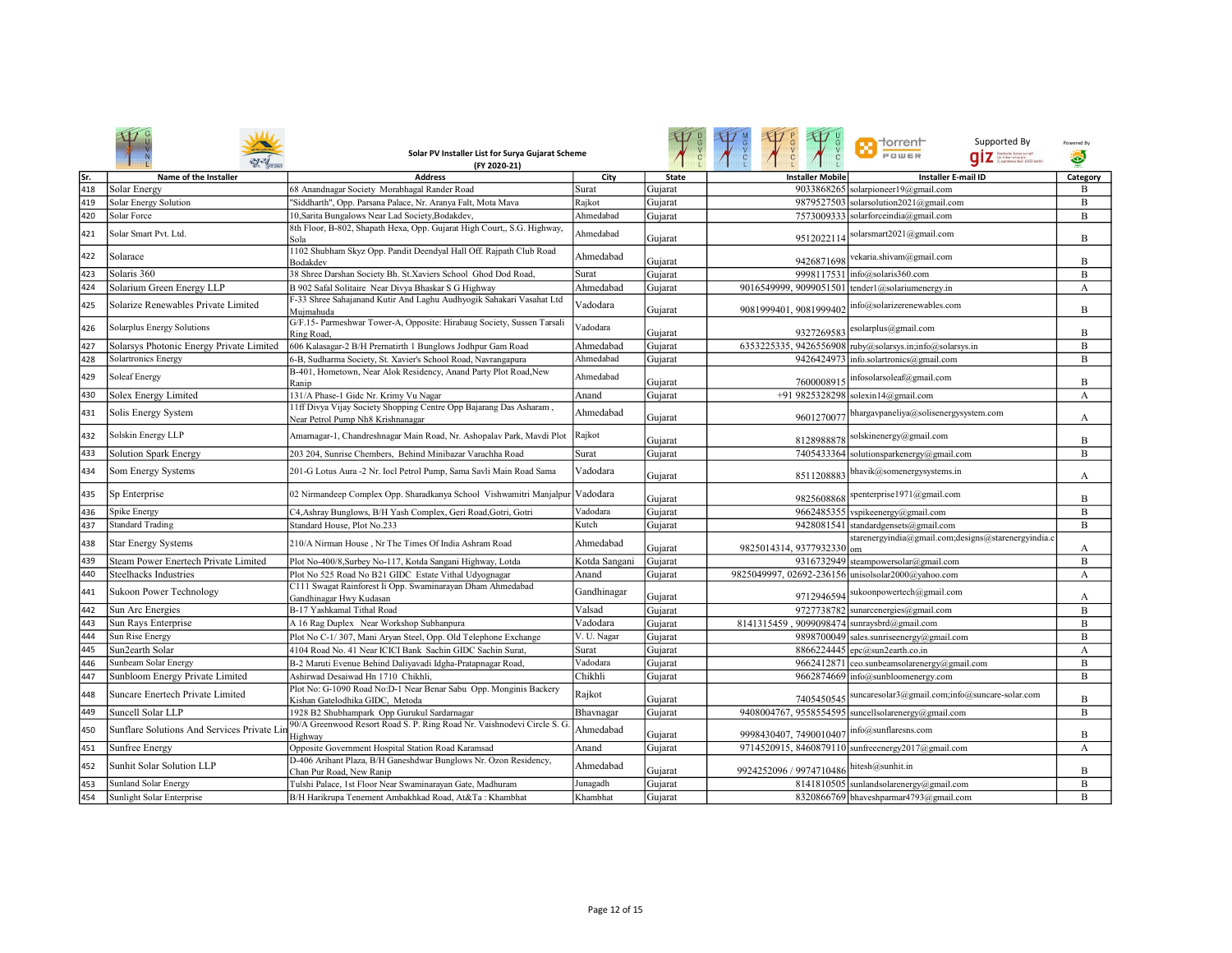|     |                                            | Solar PV Installer List for Surya Gujarat Scheme<br>(FY 2020-21)                                        |               |              |                                                    | <b>The Torrent</b><br>Supported By<br>POWER<br>$q$ iz <b>Exploration</b> | Powered By<br>۵ |
|-----|--------------------------------------------|---------------------------------------------------------------------------------------------------------|---------------|--------------|----------------------------------------------------|--------------------------------------------------------------------------|-----------------|
| Sr. | Name of the Installer                      | <b>Address</b>                                                                                          | City          | <b>State</b> | <b>Installer Mobile</b>                            | <b>Installer E-mail ID</b>                                               | Category        |
| 418 | <b>Solar Energy</b>                        | 68 Anandnagar Society Morabhagal Rander Road                                                            | Surat         | Gujarat      |                                                    | 9033868265 solarpioneer19@gmail.com                                      | B               |
| 419 | <b>Solar Energy Solution</b>               | "Siddharth", Opp. Parsana Palace, Nr. Aranya Falt, Mota Mava                                            | Rajkot        | Gujarat      |                                                    | 9879527503 solarsolution2021@gmail.com                                   | B               |
| 420 | Solar Force                                | 10, Sarita Bungalows Near Lad Society, Bodakdev,                                                        | Ahmedabad     | Gujarat      |                                                    | 7573009333 solarforceindia@gmail.com                                     | B               |
| 421 | Solar Smart Pvt. Ltd.                      | 8th Floor, B-802, Shapath Hexa, Opp. Gujarat High Court,, S.G. Highway,<br>Sola                         | Ahmedabad     | Gujarat      | 9512022114                                         | solarsmart2021@gmail.com                                                 | B               |
| 422 | Solarace                                   | 1102 Shubham Skyz Opp. Pandit Deendyal Hall Off. Rajpath Club Road<br>Bodakdev                          | Ahmedabad     | Gujarat      | 9426871698                                         | vekaria.shivam@gmail.com                                                 | B               |
| 423 | Solaris 360                                | 38 Shree Darshan Society Bh. St.Xaviers School Ghod Dod Road,                                           | Surat         | Gujarat      |                                                    | 9998117531 info@solaris360.com                                           | B               |
| 424 | Solarium Green Energy LLP                  | B 902 Safal Solitaire Near Divya Bhaskar S G Highway                                                    | Ahmedabad     | Gujarat      | 9016549999, 9099051501 tender1@solariumenergy.in   |                                                                          | А               |
| 425 | Solarize Renewables Private Limited        | F-33 Shree Sahajanand Kutir And Laghu Audhyogik Sahakari Vasahat Ltd<br>Mujmahuda                       | Vadodara      | Gujarat      | 9081999401, 9081999402                             | nfo@solarizerenewables.com                                               | B               |
| 426 | Solarplus Energy Solutions                 | G/F.15- Parmeshwar Tower-A, Opposite: Hirabaug Society, Sussen Tarsali<br><b>Ring Road</b>              | Vadodara      | Gujarat      | 9327269583                                         | esolarplus@gmail.com                                                     | B               |
| 427 | Solarsys Photonic Energy Private Limited   | 606 Kalasagar-2 B/H Prernatirth 1 Bunglows Jodhpur Gam Road                                             | Ahmedabad     | Gujarat      |                                                    | 6353225335, 9426556908 ruby@solarsys.in;info@solarsys.in                 | B               |
| 428 | <b>Solartronics Energy</b>                 | 6-B, Sudharma Society, St. Xavier's School Road, Navrangapura                                           | Ahmedabad     | Gujarat      |                                                    | 9426424973 info.solartronics@gmail.com                                   | B               |
| 429 | <b>Soleaf Energy</b>                       | B-401, Hometown, Near Alok Residency, Anand Party Plot Road, New<br>Ranip                               | Ahmedabad     | Gujarat      | 7600008915                                         | infosolarsoleaf@gmail.com                                                | B               |
| 430 | Solex Energy Limited                       | 131/A Phase-1 Gidc Nr. Krimy Vu Nagar                                                                   | Anand         | Gujarat      |                                                    | +91 9825328298 solexin14@gmail.com                                       | A               |
| 431 | Solis Energy System                        | 11ff Divya Vijay Society Shopping Centre Opp Bajarang Das Asharam,<br>Near Petrol Pump Nh8 Krishnanagar | Ahmedabad     | Gujarat      | 9601270077                                         | bhargavpaneliya@solisenergysystem.com                                    | A               |
| 432 | Solskin Energy LLP                         | Amarnagar-1, Chandreshnagar Main Road, Nr. Ashopalav Park, Mavdi Plot                                   | Rajkot        | Gujarat      | 8128988878                                         | solskinenergy@gmail.com                                                  | B               |
| 433 | Solution Spark Energy                      | 203 204, Sunrise Chembers, Behind Minibazar Varachha Road                                               | Surat         | Gujarat      | 7405433364                                         | solutionsparkenergy@gmail.com                                            | B               |
| 434 | Som Energy Systems                         | 201-G Lotus Aura -2 Nr. Iocl Petrol Pump, Sama Savli Main Road Sama                                     | Vadodara      | Gujarat      | 8511208883                                         | bhavik@somenergysystems.in                                               | А               |
| 435 | Sp Enterprise                              | 02 Nirmandeep Complex Opp. Sharadkanya School Vishwamitri Manjalpur                                     | Vadodara      | Gujarat      | 9825608868                                         | spenterprise1971@gmail.com                                               | B               |
| 436 | Spike Energy                               | C4, Ashray Bunglows, B/H Yash Complex, Geri Road, Gotri, Gotri                                          | Vadodara      | Gujarat      |                                                    | 9662485355 vspikeenergy@gmail.com                                        | B               |
| 437 | <b>Standard Trading</b>                    | Standard House, Plot No.233                                                                             | Kutch         | Gujarat      |                                                    | 9428081541 standardgensets@gmail.com                                     | B               |
| 438 | <b>Star Energy Systems</b>                 | 210/A Nirman House, Nr The Times Of India Ashram Road                                                   | Ahmedabad     | Gujarat      | 9825014314, 9377932330                             | starenergyindia@gmail.com;designs@starenergyindia.c                      | А               |
| 439 | Steam Power Enertech Private Limited       | Plot No-400/8, Surbey No-117, Kotda Sangani Highway, Lotda                                              | Kotda Sangani | Gujarat      |                                                    | 9316732949 steampowersolar@gmail.com                                     | B               |
| 440 | Steelhacks Industries                      | Plot No 525 Road No B21 GIDC Estate Vithal Udyognagar                                                   | Anand         | Gujarat      | 9825049997, 02692-236156 unisolsolar2000@yahoo.com |                                                                          | A               |
| 441 | Sukoon Power Technology                    | C111 Swagat Rainforest Ii Opp. Swaminarayan Dham Ahmedabad<br>Gandhinagar Hwy Kudasan                   | Gandhinagar   | Gujarat      | 9712946594                                         | sukoonpowertech@gmail.com                                                | А               |
| 442 | Sun Arc Energies                           | B-17 Yashkamal Tithal Road                                                                              | Valsad        | Gujarat      |                                                    | 9727738782 sunarcenergies@gmail.com                                      | $\, {\bf B}$    |
| 443 | Sun Rays Enterprise                        | A 16 Rag Duplex Near Workshop Subhanpura                                                                | Vadodara      | Gujarat      | 8141315459, 9099098474 sunraysbrd@gmail.com        |                                                                          | B               |
| 444 | Sun Rise Energy                            | Plot No C-1/307, Mani Aryan Steel, Opp. Old Telephone Exchange                                          | V. U. Nagar   | Gujarat      |                                                    | 9898700049 sales.sunriseenergy@gmail.com                                 | B               |
| 445 | Sun2earth Solar                            | 4104 Road No. 41 Near ICICI Bank Sachin GIDC Sachin Surat,                                              | Surat         | Gujarat      |                                                    | 8866224445 epc@sun2earth.co.in                                           | А               |
| 446 | Sunbeam Solar Energy                       | B-2 Maruti Evenue Behind Daliyavadi Idgha-Pratapnagar Road,                                             | Vadodara      | Gujarat      |                                                    | 9662412871 ceo.sunbeamsolarenergy@gmail.com                              | B               |
| 447 | Sunbloom Energy Private Limited            | Ashirwad Desaiwad Hn 1710 Chikhli,                                                                      | Chikhli       | Gujarat      |                                                    | 9662874669 info@sunbloomenergy.com                                       | B               |
| 448 | Suncare Enertech Private Limited           | Plot No: G-1090 Road No:D-1 Near Benar Sabu Opp. Monginis Backery<br>Kishan Gatelodhika GIDC, Metoda    | Rajkot        | Gujarat      | 7405450545                                         | suncaresolar3@gmail.com;info@suncare-solar.com                           | B               |
| 449 | Suncell Solar LLP                          | 1928 B2 Shubhampark Opp Gurukul Sardarnagar                                                             | Bhavnagar     | Gujarat      |                                                    | 9408004767, 9558554595 suncellsolarenergy@gmail.com                      | B               |
| 450 | Sunflare Solutions And Services Private L. | 90/A Greenwood Resort Road S. P. Ring Road Nr. Vaishnodevi Circle S. G<br>Highway                       | Ahmedabad     | Gujarat      | 9998430407, 7490010407                             | info@sunflaresns.com                                                     | B               |
| 451 | Sunfree Energy                             | Opposite Government Hospital Station Road Karamsad                                                      | Anand         | Gujarat      |                                                    | 9714520915, 8460879110 sunfreeenergy2017@gmail.com                       | A               |
| 452 | Sunhit Solar Solution LLP                  | D-406 Arihant Plaza, B/H Ganeshdwar Bunglows Nr. Ozon Residency,<br>Chan Pur Road, New Ranip            | Ahmedabad     | Gujarat      | 9924252096 / 9974710486                            | hitesh@sunhit.in                                                         | B               |
| 453 | Sunland Solar Energy                       | Tulshi Palace, 1st Floor Near Swaminarayan Gate, Madhuram                                               | Junagadh      | Gujarat      |                                                    | $8141810505$ sunlandsolarenergy@gmail.com                                | B               |
| 454 | Sunlight Solar Enterprise                  | B/H Harikrupa Tenement Ambakhkad Road, At&Ta: Khambhat                                                  | Khambhat      | Gujarat      |                                                    | 8320866769 bhaveshparmar4793@gmail.com                                   | B               |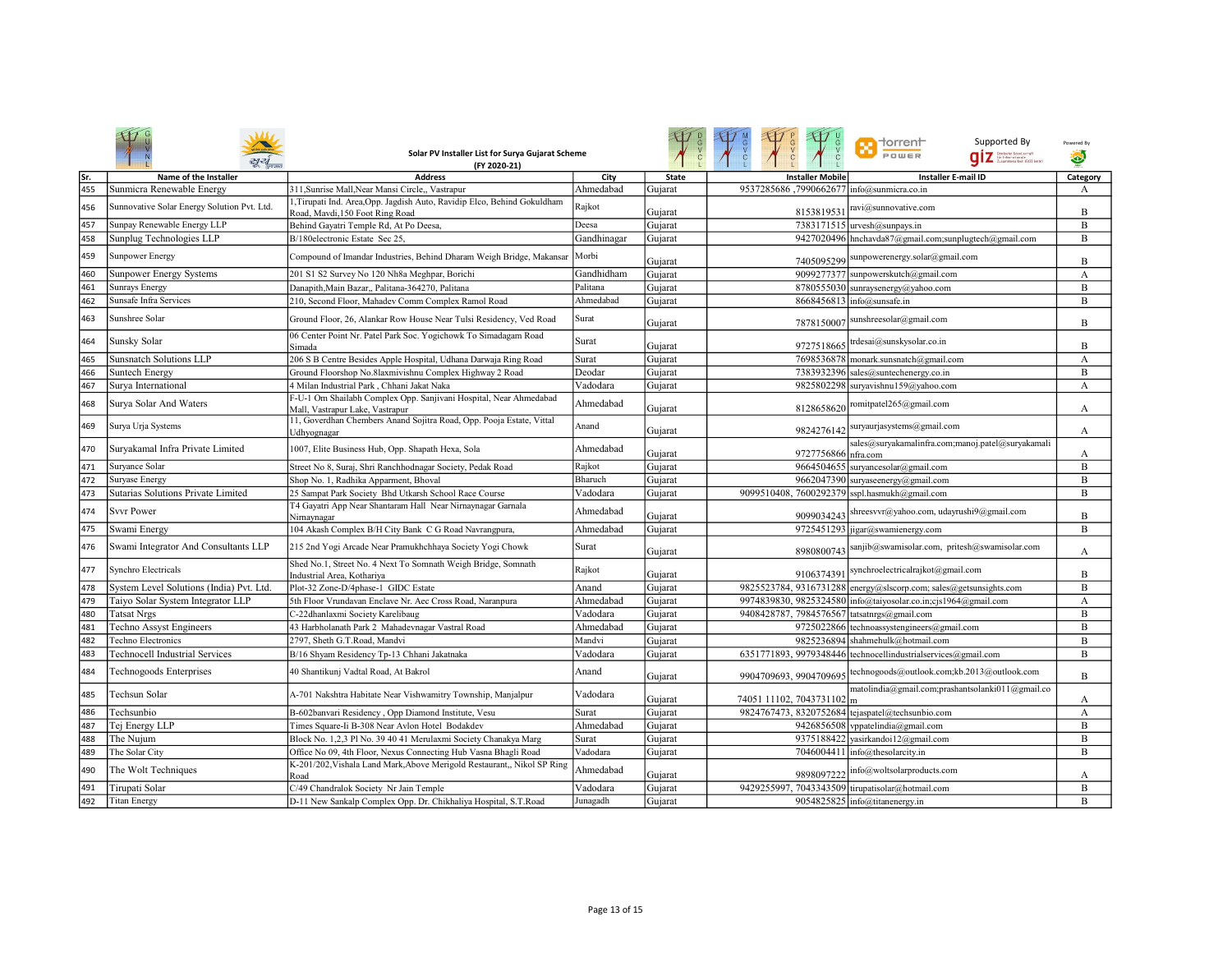|     |                                            | Solar PV Installer List for Surya Gujarat Scheme<br>(FY 2020-21)                                            |             |              | LOC                                              | <b>T</b> dorrent<br>Supported By<br>POWER<br>.<br>Grinteratemie<br>Zusammeastei: (612) Embl | Powered By |
|-----|--------------------------------------------|-------------------------------------------------------------------------------------------------------------|-------------|--------------|--------------------------------------------------|---------------------------------------------------------------------------------------------|------------|
| Sr. | Name of the Installer                      | <b>Address</b>                                                                                              | City        | <b>State</b> | <b>Installer Mobile</b>                          | <b>Installer E-mail ID</b>                                                                  | Category   |
| 455 | Sunmicra Renewable Energy                  | 311.Sunrise Mall.Near Mansi Circle., Vastrapur                                                              | Ahmedabad   | Gujarat      | 9537285686,7990662677 info@sunmicra.co.in        |                                                                                             | A          |
| 456 | Sunnovative Solar Energy Solution Pvt. Ltd | 1, Tirupati Ind. Area, Opp. Jagdish Auto, Ravidip Elco, Behind Gokuldham<br>Road, Mavdi, 150 Foot Ring Road | Rajkot      | Gujarat      | 8153819531                                       | ravi@sunnovative.com                                                                        | B          |
| 457 | Sunpay Renewable Energy LLP                | Behind Gayatri Temple Rd, At Po Deesa,                                                                      | Deesa       | Gujarat      |                                                  | 7383171515 urvesh@sunpays.in                                                                | B          |
| 458 | Sunplug Technologies LLP                   | B/180electronic Estate Sec 25,                                                                              | Gandhinagar | Gujarat      |                                                  | 9427020496 hnchavda87@gmail.com;sunplugtech@gmail.com                                       | B          |
| 459 | <b>Sunpower Energy</b>                     | Compound of Imandar Industries, Behind Dharam Weigh Bridge, Makansar                                        | Morbi       | Gujarat      |                                                  | 7405095299 sunpowerenergy.solar@gmail.com                                                   | B          |
| 460 | <b>Sunpower Energy Systems</b>             | 201 S1 S2 Survey No 120 Nh8a Meghpar, Borichi                                                               | Gandhidham  | Gujarat      |                                                  | 9099277377 sunpowerskutch@gmail.com                                                         | A          |
| 461 | <b>Sunrays Energy</b>                      | Danapith, Main Bazar,, Palitana-364270, Palitana                                                            | Palitana    | Gujarat      |                                                  | 8780555030 sunraysenergy@yahoo.com                                                          | B          |
| 462 | Sunsafe Infra Services                     | 210, Second Floor, Mahadev Comm Complex Ramol Road                                                          | Ahmedabad   | Gujarat      |                                                  | 8668456813 info@sunsafe.in                                                                  | B          |
| 463 | Sunshree Solar                             | Ground Floor, 26, Alankar Row House Near Tulsi Residency, Ved Road                                          | Surat       | Gujarat      | 7878150007                                       | sunshreesolar@gmail.com                                                                     | B          |
| 464 | Sunsky Solar                               | 06 Center Point Nr. Patel Park Soc. Yogichowk To Simadagam Road<br>Simada                                   | Surat       | Gujarat      | 9727518665                                       | trdesai@sunskysolar.co.in                                                                   | B          |
| 465 | <b>Sunsnatch Solutions LLP</b>             | 206 S B Centre Besides Apple Hospital, Udhana Darwaja Ring Road                                             | Surat       | Gujarat      |                                                  | 7698536878 monark.sunsnatch@gmail.com                                                       | A          |
| 466 | Suntech Energy                             | Ground Floorshop No.8laxmivishnu Complex Highway 2 Road                                                     | Deodar      | Gujarat      |                                                  | 7383932396 sales@suntechenergy.co.in                                                        | B          |
| 467 | Surya International                        | 4 Milan Industrial Park, Chhani Jakat Naka                                                                  | Vadodara    | Gujarat      |                                                  | 9825802298 suryavishnu159@yahoo.com                                                         | А          |
| 468 | Surya Solar And Waters                     | F-U-1 Om Shailabh Complex Opp. Sanjivani Hospital, Near Ahmedabad<br>Mall, Vastrapur Lake, Vastrapur        | Ahmedabad   | Gujarat      |                                                  | 8128658620 romitpatel265@gmail.com                                                          | А          |
| 469 | Surya Urja Systems                         | 11, Goverdhan Chembers Anand Sojitra Road, Opp. Pooja Estate, Vittal<br>Udhvognagar                         | Anand       | Gujarat      | 9824276142                                       | suryaurjasystems@gmail.com                                                                  | A          |
| 470 | Suryakamal Infra Private Limited           | 1007, Elite Business Hub, Opp. Shapath Hexa, Sola                                                           | Ahmedabad   | Gujarat      | 9727756866 nfra.com                              | sales@suryakamalinfra.com;manoj.patel@suryakamali                                           | А          |
| 471 | Survance Solar                             | Street No 8, Suraj, Shri Ranchhodnagar Society, Pedak Road                                                  | Rajkot      | Gujarat      |                                                  | 9664504655 suryancesolar@gmail.com                                                          | B          |
| 472 | Suryase Energy                             | Shop No. 1, Radhika Apparment, Bhoval                                                                       | Bharuch     | Gujarat      |                                                  | 9662047390 suryaseenergy@gmail.com                                                          | B          |
| 473 | Sutarias Solutions Private Limited         | 25 Sampat Park Society Bhd Utkarsh School Race Course                                                       | Vadodara    | Gujarat      | 9099510408, 7600292379 sspl.hasmukh@gmail.com    |                                                                                             | B          |
| 474 | <b>Svvr Power</b>                          | T4 Gayatri App Near Shantaram Hall Near Nirnaynagar Garnala<br>Nirnaynagar                                  | Ahmedabad   | Gujarat      | 9099034243                                       | shreesvvr@yahoo.com, udayrushi9@gmail.com                                                   | B          |
| 475 | Swami Energy                               | 104 Akash Complex B/H City Bank C G Road Navrangpura,                                                       | Ahmedabad   | Gujarat      |                                                  | 9725451293 jigar@swamienergy.com                                                            | B          |
| 476 | Swami Integrator And Consultants LLP       | 215 2nd Yogi Arcade Near Pramukhchhaya Society Yogi Chowk                                                   | Surat       | Gujarat      | 8980800743                                       | sanjib@swamisolar.com, pritesh@swamisolar.com                                               | A          |
| 477 | <b>Synchro Electricals</b>                 | Shed No.1, Street No. 4 Next To Somnath Weigh Bridge, Somnath<br>Industrial Area, Kothariya                 | Rajkot      | Gujarat      | 9106374391                                       | synchroelectricalrajkot@gmail.com                                                           | B          |
| 478 | System Level Solutions (India) Pvt. Ltd.   | Plot-32 Zone-D/4phase-1 GIDC Estate                                                                         | Anand       | Gujarat      |                                                  | 9825523784, 9316731288 energy@slscorp.com; sales@getsunsights.com                           | B          |
| 479 | Taiyo Solar System Integrator LLP          | 5th Floor Vrundavan Enclave Nr. Aec Cross Road, Naranpura                                                   | Ahmedabad   | Gujarat      |                                                  | 9974839830, 9825324580 info@taiyosolar.co.in;cjs1964@gmail.com                              | A          |
| 480 | <b>Tatsat Nrgs</b>                         | C-22dhanlaxmi Society Karelibaug                                                                            | Vadodara    | Gujarat      | 9408428787, 7984576567 tatsatnrgs@gmail.com      |                                                                                             | B          |
| 481 | <b>Techno Assyst Engineers</b>             | 43 Harbholanath Park 2 Mahadevnagar Vastral Road                                                            | Ahmedabad   | Gujarat      |                                                  | 9725022866 technoassystengineers@gmail.com                                                  | B          |
| 482 | <b>Techno Electronics</b>                  | 2797. Sheth G.T.Road, Mandvi                                                                                | Mandvi      | Gujarat      |                                                  | 9825236894 shahmehulk@hotmail.com                                                           | B          |
| 483 | <b>Technocell Industrial Services</b>      | B/16 Shyam Residency Tp-13 Chhani Jakatnaka                                                                 | Vadodara    | Gujarat      |                                                  | 6351771893, 9979348446 technocellindustrialservices@gmail.com                               | B          |
| 484 | Technogoods Enterprises                    | 40 Shantikunj Vadtal Road, At Bakrol                                                                        | Anand       | Gujarat      | 9904709693, 9904709695                           | technogoods@outlook.com;kb.2013@outlook.com                                                 | B          |
| 485 | Techsun Solar                              | A-701 Nakshtra Habitate Near Vishwamitry Township, Manjalpur                                                | Vadodara    | Gujarat      | 74051 11102, 7043731102 m                        | matolindia@gmail.com;prashantsolanki011@gmail.co                                            | А          |
| 486 | Techsunbio                                 | B-602banvari Residency, Opp Diamond Institute, Vesu                                                         | Surat       | Gujarat      | 9824767473, 8320752684 tejaspatel@techsunbio.com |                                                                                             | A          |
| 487 | Tej Energy LLP                             | Times Square-Ii B-308 Near Avlon Hotel Bodakdev                                                             | Ahmedabad   | Gujarat      |                                                  | 9426856508 vppatelindia@gmail.com                                                           | B          |
| 488 | The Nujum                                  | Block No. 1,2,3 Pl No. 39 40 41 Merulaxmi Society Chanakya Marg                                             | Surat       | Gujarat      |                                                  | 9375188422 yasirkandoi12@gmail.com                                                          | B          |
| 489 | The Solar City                             | Office No 09, 4th Floor, Nexus Connecting Hub Vasna Bhagli Road                                             | Vadodara    | Gujarat      |                                                  | 7046004411 info@thesolarcity.in                                                             | B          |
| 490 | The Wolt Techniques                        | K-201/202, Vishala Land Mark, Above Merigold Restaurant,, Nikol SP Ring<br>Road                             | Ahmedabad   | Gujarat      | 9898097222                                       | info@woltsolarproducts.com                                                                  | А          |
| 491 | Tirupati Solar                             | C/49 Chandralok Society Nr Jain Temple                                                                      | Vadodara    | Gujarat      | 9429255997, 7043343509 tirupatisolar@hotmail.com |                                                                                             | B          |
| 492 | <b>Titan Energy</b>                        | D-11 New Sankalp Complex Opp. Dr. Chikhaliya Hospital, S.T.Road                                             | Junagadh    | Gujarat      |                                                  | 9054825825 info@titanenergy.in                                                              | B          |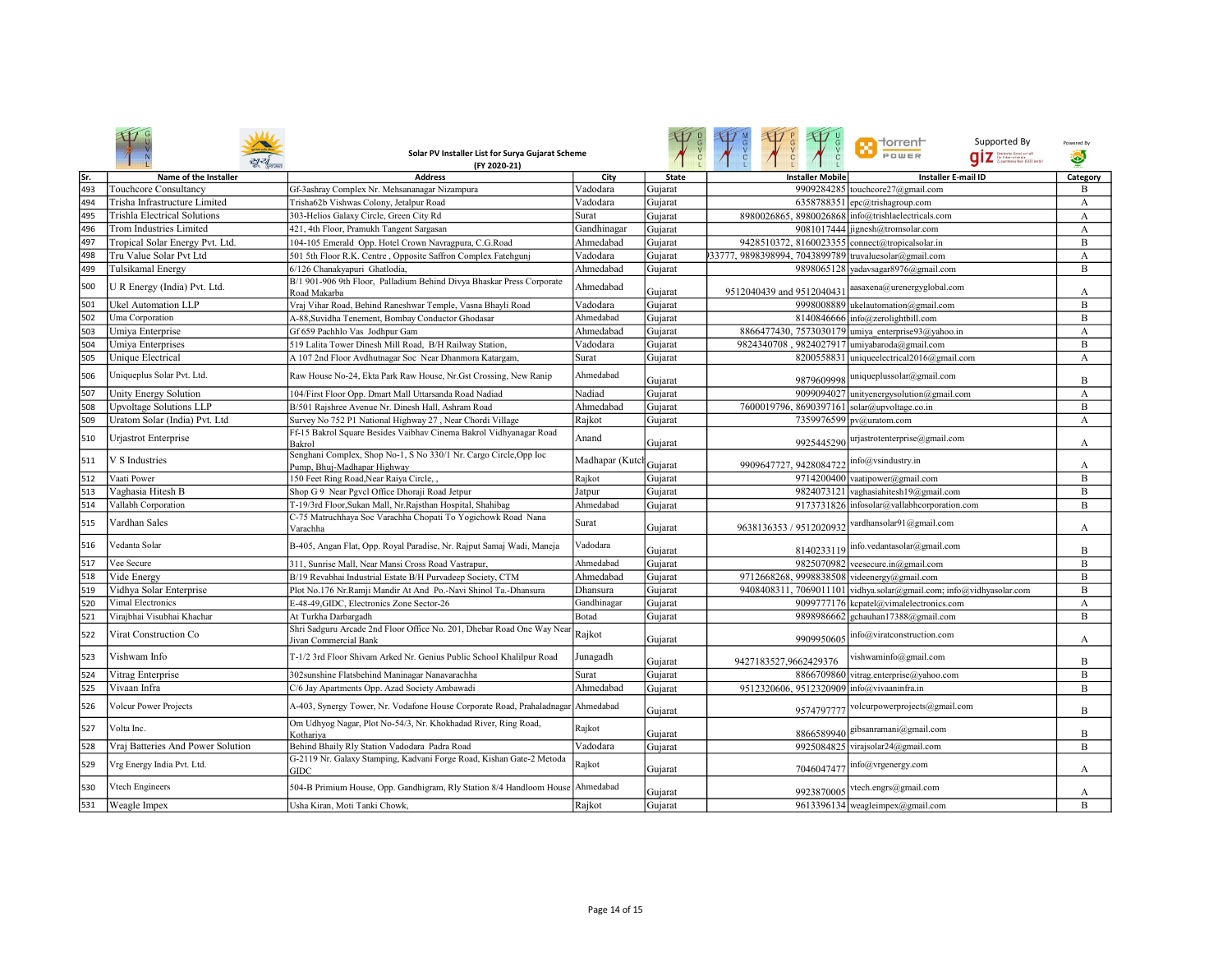|      |                                   | Solar PV Installer List for Surya Gujarat Scheme<br>(FY 2020-21)                                 |                |              |                                                       | n torrent<br>Supported By<br>POWER<br>Dzutschr Gesel.conaft<br>für Internationale<br>Zusammenarbeit (G12) Embi | Powered By<br>Ø |
|------|-----------------------------------|--------------------------------------------------------------------------------------------------|----------------|--------------|-------------------------------------------------------|----------------------------------------------------------------------------------------------------------------|-----------------|
| lSr. | Name of the Installer             | <b>Address</b>                                                                                   | City           | <b>State</b> | <b>Installer Mobile</b>                               | <b>Installer E-mail ID</b>                                                                                     | Category        |
| 493  | Touchcore Consultancy             | Gf-3ashray Complex Nr. Mehsananagar Nizampura                                                    | Vadodara       | Gujarat      | 9909284285                                            | touchcore27@gmail.com                                                                                          | B               |
| 494  | Trisha Infrastructure Limited     | Trisha62b Vishwas Colony, Jetalpur Road                                                          | Vadodara       | Gujarat      | 6358788351                                            | epc@trishagroup.com                                                                                            | A               |
| 495  | Trishla Electrical Solutions      | 303-Helios Galaxy Circle, Green City Rd                                                          | Surat          | Gujarat      | 8980026865, 8980026868                                | info@trishlaelectricals.com                                                                                    | A               |
| 496  | <b>Trom Industries Limited</b>    | 421, 4th Floor, Pramukh Tangent Sargasan                                                         | Gandhinagar    | Gujarat      |                                                       | 9081017444 jignesh@tromsolar.com                                                                               | A               |
| 497  | Tropical Solar Energy Pvt. Ltd.   | 104-105 Emerald Opp. Hotel Crown Navragpura, C.G.Road                                            | Ahmedabad      | Gujarat      | 9428510372, 8160023355 connect@tropicalsolar.in       |                                                                                                                | B               |
| 498  | Tru Value Solar Pvt Ltd           | 501 5th Floor R.K. Centre, Opposite Saffron Complex Fatehgunj                                    | Vadodara       | Gujarat      | 33777, 9898398994, 7043899789 truvaluesolar@gmail.com |                                                                                                                | A               |
| 499  | Tulsikamal Energy                 | 6/126 Chanakyapuri Ghatlodia,                                                                    | Ahmedabad      | Gujarat      |                                                       | 9898065128 yadavsagar8976@gmail.com                                                                            | B               |
| 500  | U R Energy (India) Pvt. Ltd.      | B/1 901-906 9th Floor, Palladium Behind Divya Bhaskar Press Corporate<br>Road Makarba            | Ahmedabad      | Gujarat      | 9512040439 and 9512040431                             | aasaxena@urenergyglobal.com                                                                                    | A               |
| 501  | Ukel Automation LLP               | Vraj Vihar Road, Behind Raneshwar Temple, Vasna Bhayli Road                                      | Vadodara       | Gujarat      |                                                       | 9998008889 ukelautomation@gmail.com                                                                            | B               |
| 502  | Uma Corporation                   | A-88, Suvidha Tenement, Bombay Conductor Ghodasar                                                | Ahmedabad      | Gujarat      |                                                       | 8140846666 info@zerolightbill.com                                                                              | B               |
| 503  | Umiya Enterprise                  | Gf 659 Pachhlo Vas Jodhpur Gam                                                                   | Ahmedabad      | Gujarat      |                                                       | 8866477430, 7573030179 umiya enterprise93@yahoo.in                                                             | A               |
| 504  | Umiya Enterprises                 | 519 Lalita Tower Dinesh Mill Road, B/H Railway Station,                                          | Vadodara       | Gujarat      | 9824340708, 9824027917 umiyabaroda@gmail.com          |                                                                                                                | B               |
| 505  | <b>Unique Electrical</b>          | A 107 2nd Floor Avdhutnagar Soc Near Dhanmora Katargam,                                          | Surat          | Gujarat      |                                                       | 8200558831 uniqueelectrical2016@gmail.com                                                                      | A               |
| 506  | Uniqueplus Solar Pvt. Ltd.        | Raw House No-24, Ekta Park Raw House, Nr.Gst Crossing, New Ranip                                 | Ahmedabad      | Gujarat      |                                                       | 9879609998 uniqueplussolar@gmail.com                                                                           | B               |
| 507  | Unity Energy Solution             | 104/First Floor Opp. Dmart Mall Uttarsanda Road Nadiad                                           | Nadiad         | Gujarat      |                                                       | 9099094027 unityenergysolution@gmail.com                                                                       | A               |
| 508  | <b>Upvoltage Solutions LLP</b>    | B/501 Rajshree Avenue Nr. Dinesh Hall, Ashram Road                                               | Ahmedabad      | Gujarat      | 7600019796, 8690397161 solar@upvoltage.co.in          |                                                                                                                | B               |
| 509  | Uratom Solar (India) Pvt. Ltd     | Survey No 752 P1 National Highway 27, Near Chordi Village                                        | Rajkot         | Gujarat      | 7359976599                                            | pv@uratom.com                                                                                                  | A               |
| 510  | Urjastrot Enterprise              | Ff-15 Bakrol Square Besides Vaibhav Cinema Bakrol Vidhyanagar Road<br>Bakrol                     | Anand          | Gujarat      | 9925445290                                            | urjastrotenterprise@gmail.com                                                                                  | А               |
| 511  | V S Industries                    | Senghani Complex, Shop No-1, S No 330/1 Nr. Cargo Circle, Opp Ioc<br>Pump, Bhuj-Madhapar Highway | Madhapar (Kutc | Gujarat      | 9909647727, 9428084722                                | info@vsindustry.in                                                                                             | А               |
| 512  | Vaati Power                       | 150 Feet Ring Road, Near Raiya Circle,                                                           | Rajkot         | Gujarat      |                                                       | 9714200400 vaatipower@gmail.com                                                                                | B               |
| 513  | Vaghasia Hitesh B                 | Shop G 9 Near Pgvcl Office Dhoraji Road Jetpur                                                   | Jatpur         | Gujarat      |                                                       | 9824073121 vaghasiahitesh19@gmail.com                                                                          | B               |
| 514  | Vallabh Corporation               | T-19/3rd Floor, Sukan Mall, Nr. Rajsthan Hospital, Shahibag                                      | Ahmedabad      | Gujarat      |                                                       | 9173731826 infosolar@vallabhcorporation.com                                                                    | B               |
| 515  | Vardhan Sales                     | C-75 Matruchhaya Soc Varachha Chopati To Yogichowk Road Nana<br>Varachha                         | Surat          | Gujarat      | 9638136353 / 9512020932                               | vardhansolar91@gmail.com                                                                                       | А               |
| 516  | Vedanta Solar                     | B-405, Angan Flat, Opp. Royal Paradise, Nr. Rajput Samaj Wadi, Maneja                            | Vadodara       | Gujarat      | 8140233119                                            | info.vedantasolar@gmail.com                                                                                    | B               |
| 517  | Vee Secure                        | 311, Sunrise Mall, Near Mansi Cross Road Vastrapur,                                              | Ahmedabad      | Gujarat      | 9825070982                                            | veesecure.in@gmail.com                                                                                         | B               |
| 518  | Vide Energy                       | B/19 Revabhai Industrial Estate B/H Purvadeep Society, CTM                                       | Ahmedabad      | Gujarat      | 9712668268, 9998838508 videenergy@gmail.com           |                                                                                                                | $\overline{B}$  |
| 519  | Vidhya Solar Enterprise           | Plot No.176 Nr.Ramji Mandir At And Po.-Navi Shinol Ta.-Dhansura                                  | Dhansura       | Gujarat      |                                                       | 9408408311, 7069011101 vidhya.solar@gmail.com; info@vidhyasolar.com                                            | B               |
| 520  | Vimal Electronics                 | E-48-49, GIDC, Electronics Zone Sector-26                                                        | Gandhinagar    | Gujarat      |                                                       | 9099777176 kcpatel@vimalelectronics.com                                                                        | A               |
| 521  | Viraibhai Visubhai Khachar        | At Turkha Darbargadh                                                                             | Botad          | Gujarat      | 9898986662                                            | gchauhan17388@gmail.com                                                                                        | B               |
| 522  | Virat Construction Co             | Shri Sadguru Arcade 2nd Floor Office No. 201, Dhebar Road One Way Near<br>Jivan Commercial Bank  | Rajkot         | Gujarat      | 9909950605                                            | info@viratconstruction.com                                                                                     | А               |
| 523  | Vishwam Info                      | T-1/2 3rd Floor Shivam Arked Nr. Genius Public School Khalilpur Road                             | Junagadh       | Gujarat      | 9427183527,9662429376                                 | vishwaminfo@gmail.com                                                                                          | B               |
| 524  | Vitrag Enterprise                 | 302 sunshine Flatsbehind Maninagar Nanavarachha                                                  | Surat          | Gujarat      |                                                       | 8866709860 vitrag.enterprise@yahoo.com                                                                         | B               |
| 525  | Vivaan Infra                      | C/6 Jay Apartments Opp. Azad Society Ambawadi                                                    | Ahmedabad      | Gujarat      | 9512320606, 9512320909 info@vivaaninfra.in            |                                                                                                                | B               |
| 526  | Volcur Power Projects             | A-403, Synergy Tower, Nr. Vodafone House Corporate Road, Prahaladnagar Ahmedabad                 |                | Gujarat      | 9574797777                                            | volcurpowerprojects@gmail.com                                                                                  | B               |
| 527  | Volta Inc.                        | Om Udhyog Nagar, Plot No-54/3, Nr. Khokhadad River, Ring Road,<br>Kothariva                      | Rajkot         | Gujarat      | 8866589940                                            | gibsanramani@gmail.com                                                                                         | B               |
| 528  | Vraj Batteries And Power Solution | Behind Bhaily Rly Station Vadodara Padra Road                                                    | Vadodara       | Gujarat      |                                                       | 9925084825 virajsolar24@gmail.com                                                                              | B               |
| 529  | Vrg Energy India Pvt. Ltd.        | G-2119 Nr. Galaxy Stamping, Kadvani Forge Road, Kishan Gate-2 Metoda<br>GIDC                     | Rajkot         | Gujarat      | 7046047477                                            | info@vrgenergy.com                                                                                             | А               |
| 530  | <b>Vtech Engineers</b>            | 504-B Primium House, Opp. Gandhigram, Rly Station 8/4 Handloom House                             | Ahmedabad      | Gujarat      |                                                       | 9923870005 vtech.engrs@gmail.com                                                                               | A               |
| 531  | Weagle Impex                      | Usha Kiran, Moti Tanki Chowk,                                                                    | Rajkot         | Gujarat      |                                                       | 9613396134 weagleimpex@gmail.com                                                                               | B               |